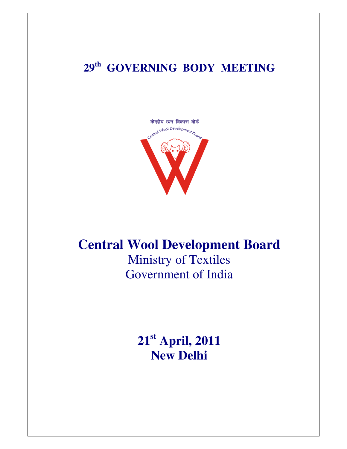## **29th GOVERNING BODY MEETING**



## **Central Wool Development Board**

Ministry of Textiles Government of India

> **21st April, 2011 New Delhi**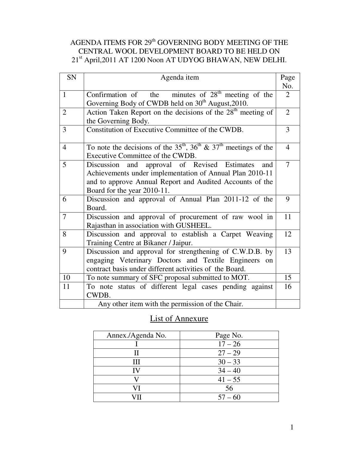## AGENDA ITEMS FOR  $29<sup>th</sup>$  GOVERNING BODY MEETING OF THE CENTRAL WOOL DEVELOPMENT BOARD TO BE HELD ON 21st April,2011 AT 1200 Noon AT UDYOG BHAWAN, NEW DELHI.

| SN             | Agenda item                                                             | Page           |
|----------------|-------------------------------------------------------------------------|----------------|
|                |                                                                         | No.            |
| $\mathbf{1}$   | Confirmation of the minutes of $28th$ meeting of the                    | $\overline{2}$ |
|                | Governing Body of CWDB held on 30 <sup>th</sup> August, 2010.           |                |
| $\overline{2}$ | Action Taken Report on the decisions of the 28 <sup>th</sup> meeting of | $\overline{2}$ |
|                | the Governing Body.                                                     |                |
| 3              | Constitution of Executive Committee of the CWDB.                        | $\overline{3}$ |
|                |                                                                         |                |
| $\overline{4}$ | To note the decisions of the $35th$ , $36th$ & $37th$ meetings of the   | $\overline{4}$ |
|                | Executive Committee of the CWDB.                                        |                |
| 5              | approval of Revised Estimates<br>Discussion<br>and<br>and               | $\overline{7}$ |
|                | Achievements under implementation of Annual Plan 2010-11                |                |
|                | and to approve Annual Report and Audited Accounts of the                |                |
|                | Board for the year 2010-11.                                             |                |
| 6              | Discussion and approval of Annual Plan 2011-12 of the                   | 9              |
|                | Board.                                                                  |                |
| $\overline{7}$ | Discussion and approval of procurement of raw wool in                   | 11             |
|                | Rajasthan in association with GUSHEEL.                                  |                |
| 8              | Discussion and approval to establish a Carpet Weaving                   | 12             |
|                | Training Centre at Bikaner / Jaipur.                                    |                |
| 9              | Discussion and approval for strengthening of C.W.D.B. by                | 13             |
|                | engaging Veterinary Doctors and Textile Engineers<br>on                 |                |
|                | contract basis under different activities of the Board.                 |                |
| 10             | To note summary of SFC proposal submitted to MOT.                       | 15             |
| 11             | To note status of different legal cases pending against                 | 16             |
|                | CWDB.                                                                   |                |
|                | Any other item with the permission of the Chair.                        |                |

## List of Annexure

| Annex./Agenda No. | Page No.  |
|-------------------|-----------|
|                   | $17 - 26$ |
| Н                 | $27 - 29$ |
| Ш                 | $30 - 33$ |
| IV                | $34 - 40$ |
|                   | $41 - 55$ |
| VI                | 56        |
|                   | $57 - 60$ |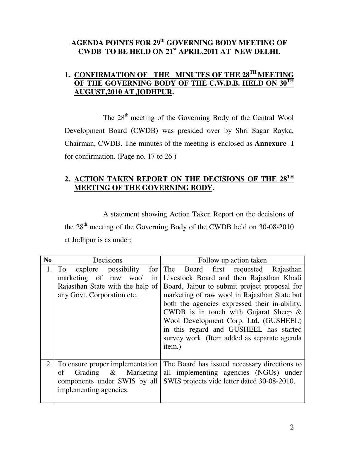## **AGENDA POINTS FOR 29th GOVERNING BODY MEETING OF CWDB TO BE HELD ON 21st APRIL,2011 AT NEW DELHI.**

## **1. CONFIRMATION OF THE MINUTES OF THE 28TH MEETING OF THE GOVERNING BODY OF THE C.W.D.B. HELD ON 30TH AUGUST,2010 AT JODHPUR.**

The 28<sup>th</sup> meeting of the Governing Body of the Central Wool Development Board (CWDB) was presided over by Shri Sagar Rayka, Chairman, CWDB. The minutes of the meeting is enclosed as **Annexure**- **I** for confirmation. (Page no. 17 to 26 )

## **2. ACTION TAKEN REPORT ON THE DECISIONS OF THE 28TH MEETING OF THE GOVERNING BODY.**

 A statement showing Action Taken Report on the decisions of the 28<sup>th</sup> meeting of the Governing Body of the CWDB held on 30-08-2010 at Jodhpur is as under:

| N <sub>0</sub> | Decisions                                                                                                                            | Follow up action taken                                                                                                                                                                                                                                                                                                                                                                                                    |
|----------------|--------------------------------------------------------------------------------------------------------------------------------------|---------------------------------------------------------------------------------------------------------------------------------------------------------------------------------------------------------------------------------------------------------------------------------------------------------------------------------------------------------------------------------------------------------------------------|
| 1.             | explore possibility<br>for<br>To<br>marketing of raw<br>wool<br>in<br>Rajasthan State with the help of<br>any Govt. Corporation etc. | The Board first requested Rajasthan<br>Livestock Board and then Rajasthan Khadi<br>Board, Jaipur to submit project proposal for<br>marketing of raw wool in Rajasthan State but<br>both the agencies expressed their in-ability.<br>CWDB is in touch with Gujarat Sheep $\&$<br>Wool Development Corp. Ltd. (GUSHEEL)<br>in this regard and GUSHEEL has started<br>survey work. (Item added as separate agenda)<br>item.) |
| 2.             | To ensure proper implementation<br>Grading & Marketing<br>of<br>components under SWIS by all<br>implementing agencies.               | The Board has issued necessary directions to<br>all implementing agencies (NGOs) under<br>SWIS projects vide letter dated 30-08-2010.                                                                                                                                                                                                                                                                                     |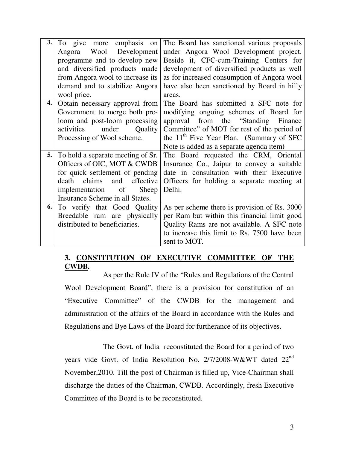| 3. | To give more emphasis on          | The Board has sanctioned various proposals                   |
|----|-----------------------------------|--------------------------------------------------------------|
|    | Wool Development<br>Angora        | under Angora Wool Development project.                       |
|    | programme and to develop new      | Beside it, CFC-cum-Training Centers for                      |
|    |                                   |                                                              |
|    | and diversified products made     | development of diversified products as well                  |
|    | from Angora wool to increase its  | as for increased consumption of Angora wool                  |
|    | demand and to stabilize Angora    | have also been sanctioned by Board in hilly                  |
|    | wool price.                       | areas.                                                       |
| 4. | Obtain necessary approval from    | The Board has submitted a SFC note for                       |
|    | Government to merge both pre-     | modifying ongoing schemes of Board for                       |
|    | loom and post-loom processing     | approval from the "Standing"<br>Finance                      |
|    | under<br>activities<br>Quality    | Committee" of MOT for rest of the period of                  |
|    | Processing of Wool scheme.        | the 11 <sup>th</sup> Five Year Plan. (Summary of SFC         |
|    |                                   | Note is added as a separate agenda item)                     |
| 5. | To hold a separate meeting of Sr. | The Board requested the CRM, Oriental                        |
|    | Officers of OIC, MOT & CWDB       | Insurance Co., Jaipur to convey a suitable                   |
|    | for quick settlement of pending   | date in consultation with their Executive                    |
|    | death claims<br>and<br>effective  | Officers for holding a separate meeting at                   |
|    | implementation of<br>Sheep        | Delhi.                                                       |
|    |                                   |                                                              |
|    | Insurance Scheme in all States.   |                                                              |
| 6. |                                   |                                                              |
|    | To verify that Good Quality       | As per scheme there is provision of Rs. 3000                 |
|    | Breedable ram are physically      | per Ram but within this financial limit good                 |
|    | distributed to beneficiaries.     | Quality Rams are not available. A SFC note                   |
|    |                                   | to increase this limit to Rs. 7500 have been<br>sent to MOT. |

## **3. CONSTITUTION OF EXECUTIVE COMMITTEE OF THE CWDB.**

 As per the Rule IV of the "Rules and Regulations of the Central Wool Development Board", there is a provision for constitution of an "Executive Committee" of the CWDB for the management and administration of the affairs of the Board in accordance with the Rules and Regulations and Bye Laws of the Board for furtherance of its objectives.

 The Govt. of India reconstituted the Board for a period of two years vide Govt. of India Resolution No. 2/7/2008-W&WT dated 22<sup>nd</sup> November,2010. Till the post of Chairman is filled up, Vice-Chairman shall discharge the duties of the Chairman, CWDB. Accordingly, fresh Executive Committee of the Board is to be reconstituted.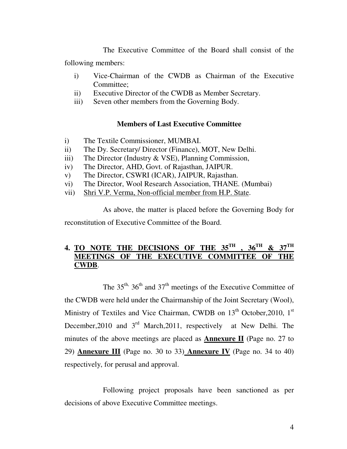The Executive Committee of the Board shall consist of the following members:

- i) Vice-Chairman of the CWDB as Chairman of the Executive Committee;
- ii) Executive Director of the CWDB as Member Secretary.
- iii) Seven other members from the Governing Body.

## **Members of Last Executive Committee**

- i) The Textile Commissioner, MUMBAI.
- ii) The Dy. Secretary/ Director (Finance), MOT, New Delhi.
- iii) The Director (Industry & VSE), Planning Commission,
- iv) The Director, AHD, Govt. of Rajasthan, JAIPUR.
- v) The Director, CSWRI (ICAR), JAIPUR, Rajasthan.
- vi) The Director, Wool Research Association, THANE. (Mumbai)
- vii) Shri V.P. Verma, Non-official member from H.P. State.

 As above, the matter is placed before the Governing Body for reconstitution of Executive Committee of the Board.

## **4. TO NOTE THE DECISIONS OF THE 35TH , 36TH & 37TH MEETINGS OF THE EXECUTIVE COMMITTEE OF THE CWDB**.

The  $35<sup>th</sup>$ ,  $36<sup>th</sup>$  and  $37<sup>th</sup>$  meetings of the Executive Committee of the CWDB were held under the Chairmanship of the Joint Secretary (Wool), Ministry of Textiles and Vice Chairman, CWDB on  $13<sup>th</sup>$  October, 2010,  $1<sup>st</sup>$ December, 2010 and 3<sup>rd</sup> March, 2011, respectively at New Delhi. The minutes of the above meetings are placed as **Annexure II** (Page no. 27 to 29) **Annexure III** (Page no. 30 to 33) **Annexure IV** (Page no. 34 to 40) respectively, for perusal and approval.

 Following project proposals have been sanctioned as per decisions of above Executive Committee meetings.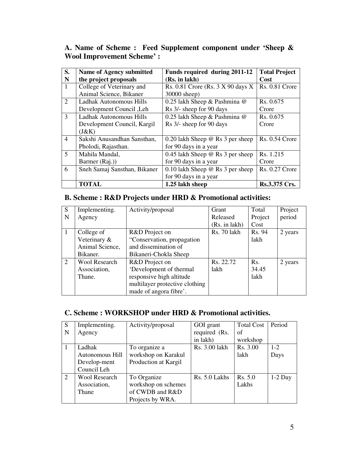| S.             | Name of Agency submitted     | Funds required during 2011-12           | <b>Total Project</b>  |
|----------------|------------------------------|-----------------------------------------|-----------------------|
| N              | the project proposals        | (Rs. in lakh)                           | Cost                  |
| $\mathbf{1}$   | College of Veterinary and    | Rs. $0.81$ Crore (Rs. $3 X 90$ days X   | Rs. 0.81 Crore        |
|                | Animal Science, Bikaner      | 30000 sheep)                            |                       |
| 2              | Ladhak Autonomous Hills      | 0.25 lakh Sheep & Pashmina @            | Rs. 0.675             |
|                | Development Council, Leh     | Rs 3/- sheep for 90 days                | Crore                 |
| 3              | Ladhak Autonomous Hills      | 0.25 lakh Sheep & Pashmina @            | Rs. 0.675             |
|                | Development Council, Kargil  | Rs 3/- sheep for 90 days                | Crore                 |
|                | (J&K)                        |                                         |                       |
| $\overline{4}$ | Sakshi Anusandhan Sansthan,  | 0.20 lakh Sheep $\omega$ Rs 3 per sheep | Rs. 0.54 Crore        |
|                | Pholodi, Rajasthan.          | for 90 days in a year                   |                       |
| 5              | Mahila Mandal,               | 0.45 lakh Sheep $@$ Rs 3 per sheep      | Rs. 1.215             |
|                | Barmer (Raj.))               | for 90 days in a year                   | Crore                 |
| 6              | Sneh Samaj Sansthan, Bikaner | 0.10 lakh Sheep $@$ Rs 3 per sheep      | <b>Rs. 0.27 Crore</b> |
|                |                              | for 90 days in a year                   |                       |
|                | <b>TOTAL</b>                 | 1.25 lakh sheep                         | Rs.3.375 Crs.         |

## **A. Name of Scheme : Feed Supplement component under 'Sheep & Wool Improvement Scheme' :**

## **B. Scheme : R&D Projects under HRD & Promotional activities:**

| S | Implementing.        | Activity/proposal              | Grant         | Total   | Project |
|---|----------------------|--------------------------------|---------------|---------|---------|
| N | Agency               |                                | Released      | Project | period  |
|   |                      |                                | (Rs. in 1akh) | Cost    |         |
|   | College of           | R&D Project on                 | Rs. 70 lakh   | Rs. 94  | 2 years |
|   | Veterinary &         | "Conservation, propagation     |               | lakh    |         |
|   | Animal Science,      | and dissemination of           |               |         |         |
|   | Bikaner.             | Bikaneri-Chokla Sheep          |               |         |         |
| 2 | <b>Wool Research</b> | R&D Project on                 | Rs. 22.72     | Rs.     | 2 years |
|   | Association,         | 'Development of thermal        | lakh          | 34.45   |         |
|   | Thane.               | responsive high altitude       |               | lakh    |         |
|   |                      | multilayer protective clothing |               |         |         |
|   |                      | made of angora fibre'.         |               |         |         |

## **C. Scheme : WORKSHOP under HRD & Promotional activities.**

| S | Implementing.        | Activity/proposal    | GOI grant     | <b>Total Cost</b> | Period    |
|---|----------------------|----------------------|---------------|-------------------|-----------|
| N | Agency               |                      | required (Rs. | of                |           |
|   |                      |                      | in lakh)      | workshop          |           |
|   | Ladhak               | To organize a        | Rs. 3.00 lakh | Rs. 3.00          | $1 - 2$   |
|   | Autonomous Hill      | workshop on Karakul  |               | lakh              | Days      |
|   | Develop-ment         | Production at Kargil |               |                   |           |
|   | Council Leh          |                      |               |                   |           |
| 2 | <b>Wool Research</b> | To Organize          | Rs. 5.0 Lakhs | Rs. 5.0           | $1-2$ Day |
|   | Association,         | workshop on schemes  |               | Lakhs             |           |
|   | Thane                | of CWDB and R&D      |               |                   |           |
|   |                      | Projects by WRA.     |               |                   |           |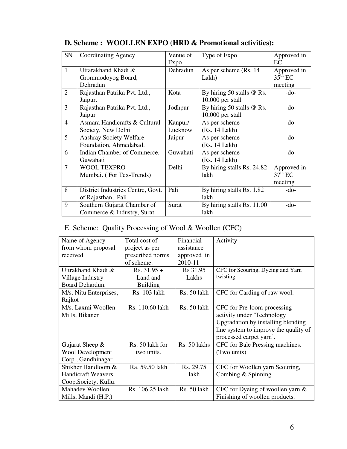| <b>SN</b>      | <b>Coordinating Agency</b>        | Venue of | Type of Expo               | Approved in  |
|----------------|-----------------------------------|----------|----------------------------|--------------|
|                |                                   | Expo     |                            | EC           |
| $\mathbf{1}$   | Uttarakhand Khadi &               | Dehradun | As per scheme (Rs. 14)     | Approved in  |
|                | Grommodoyog Board,                |          | Lakh)                      | $35^{th}$ EC |
|                | Dehradun                          |          |                            | meeting      |
| 2              | Rajasthan Patrika Pvt. Ltd.,      | Kota     | By hiring 50 stalls @ Rs.  | $-do-$       |
|                | Jaipur.                           |          | $10,000$ per stall         |              |
| $\overline{3}$ | Rajasthan Patrika Pvt. Ltd.,      | Jodhpur  | By hiring 50 stalls @ Rs.  | $-do-$       |
|                | Jaipur                            |          | $10,000$ per stall         |              |
| $\overline{4}$ | Asmara Handicrafts & Cultural     | Kanpur/  | As per scheme              | $-do-$       |
|                | Society, New Delhi                | Lucknow  | (Rs. 14 Lakh)              |              |
| 5              | Aashray Society Welfare           | Jaipur   | As per scheme              | $-do-$       |
|                | Foundation, Ahmedabad.            |          | (Rs. 14 Lakh)              |              |
| 6              | Indian Chamber of Commerce,       | Guwahati | As per scheme              | $-do-$       |
|                | Guwahati                          |          | (Rs. 14 Lakh)              |              |
| 7              | <b>WOOL TEXPRO</b>                | Delhi    | By hiring stalls Rs. 24.82 | Approved in  |
|                | Mumbai. (For Tex-Trends)          |          | lakh                       | $37th$ EC    |
|                |                                   |          |                            | meeting      |
| 8              | District Industries Centre, Govt. | Pali     | By hiring stalls Rs. 1.82  | $-do-$       |
|                | of Rajasthan, Pali                |          | lakh                       |              |
| 9              | Southern Gujarat Chamber of       | Surat    | By hiring stalls Rs. 11.00 | $-do-$       |
|                | Commerce & Industry, Surat        |          | lakh                       |              |

**D. Scheme : WOOLLEN EXPO (HRD & Promotional activities):** 

## E. Scheme: Quality Processing of Wool & Woollen (CFC)

| Name of Agency            | Total cost of    | Financial    | Activity                              |
|---------------------------|------------------|--------------|---------------------------------------|
| from whom proposal        | project as per   | assistance   |                                       |
| received                  | prescribed norms | approved in  |                                       |
|                           | of scheme.       | 2010-11      |                                       |
|                           |                  |              |                                       |
| Uttrakhand Khadi &        | $Rs. 31.95 +$    | Rs 31.95     | CFC for Scouring, Dyeing and Yarn     |
| Village Industry          | Land and         | Lakhs        | twisting.                             |
| Board Dehardun.           | <b>Building</b>  |              |                                       |
| M/s. Nitu Enterprises,    | Rs. 103 lakh     | Rs. 50 lakh  | CFC for Carding of raw wool.          |
| Rajkot                    |                  |              |                                       |
| M/s. Laxmi Woollen        | Rs. 110.60 lakh  | Rs. 50 lakh  | CFC for Pre-loom processing           |
| Mills, Bikaner            |                  |              | activity under 'Technology            |
|                           |                  |              | Upgradation by installing blending    |
|                           |                  |              | line system to improve the quality of |
|                           |                  |              | processed carpet yarn'.               |
| Gujarat Sheep $\&$        | Rs. 50 lakh for  | Rs. 50 lakhs | CFC for Bale Pressing machines.       |
| <b>Wool Development</b>   | two units.       |              | (Two units)                           |
| Corp., Gandhinagar        |                  |              |                                       |
| Shikher Handloom &        | Ra. 59.50 lakh   | Rs. 29.75    | CFC for Woollen yarn Scouring,        |
| <b>Handicraft Weavers</b> |                  | lakh         | Combing & Spinning.                   |
| Coop.Society, Kullu.      |                  |              |                                       |
| Mahadev Woollen           | Rs. 106.25 lakh  | Rs. 50 lakh  | CFC for Dyeing of woollen yarn $&$    |
| Mills, Mandi (H.P.)       |                  |              | Finishing of woollen products.        |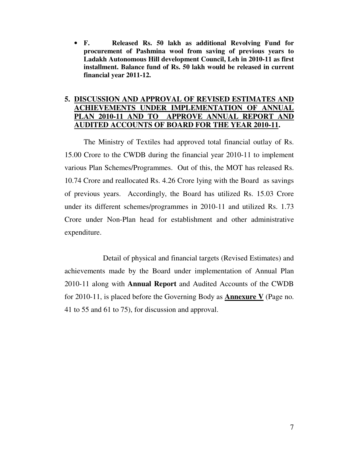• **F. Released Rs. 50 lakh as additional Revolving Fund for procurement of Pashmina wool from saving of previous years to Ladakh Autonomous Hill development Council, Leh in 2010-11 as first installment. Balance fund of Rs. 50 lakh would be released in current financial year 2011-12.** 

## **5. DISCUSSION AND APPROVAL OF REVISED ESTIMATES AND ACHIEVEMENTS UNDER IMPLEMENTATION OF ANNUAL PLAN 2010-11 AND TO APPROVE ANNUAL REPORT AND AUDITED ACCOUNTS OF BOARD FOR THE YEAR 2010-11.**

 The Ministry of Textiles had approved total financial outlay of Rs. 15.00 Crore to the CWDB during the financial year 2010-11 to implement various Plan Schemes/Programmes. Out of this, the MOT has released Rs. 10.74 Crore and reallocated Rs. 4.26 Crore lying with the Board as savings of previous years. Accordingly, the Board has utilized Rs. 15.03 Crore under its different schemes/programmes in 2010-11 and utilized Rs. 1.73 Crore under Non-Plan head for establishment and other administrative expenditure.

 Detail of physical and financial targets (Revised Estimates) and achievements made by the Board under implementation of Annual Plan 2010-11 along with **Annual Report** and Audited Accounts of the CWDB for 2010-11, is placed before the Governing Body as **Annexure V** (Page no. 41 to 55 and 61 to 75), for discussion and approval.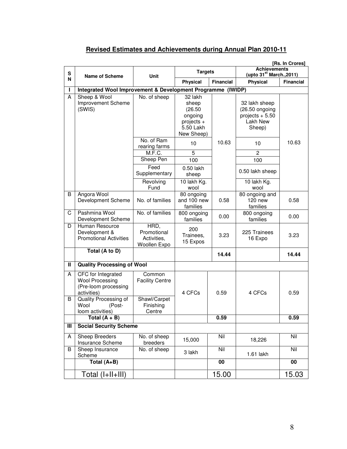## **Revised Estimates and Achievements during Annual Plan 2010-11**

|        | [Rs. In Crores]                                                                                                                                    |                                                                         |                                                                                   |                                                             |                                                                            |                  |
|--------|----------------------------------------------------------------------------------------------------------------------------------------------------|-------------------------------------------------------------------------|-----------------------------------------------------------------------------------|-------------------------------------------------------------|----------------------------------------------------------------------------|------------------|
| S      | <b>Targets</b><br>Unit<br>Name of Scheme                                                                                                           |                                                                         |                                                                                   | <b>Achievements</b><br>(upto 31 <sup>st</sup> March., 2011) |                                                                            |                  |
| N      |                                                                                                                                                    |                                                                         | <b>Physical</b>                                                                   | <b>Financial</b>                                            | <b>Physical</b>                                                            | <b>Financial</b> |
| г      | Integrated Wool Improvement & Development Programme (IWIDP)                                                                                        |                                                                         |                                                                                   |                                                             |                                                                            |                  |
| A      | Sheep & Wool<br>Improvement Scheme<br>(SWIS)                                                                                                       | No. of sheep                                                            | 32 lakh<br>sheep<br>(26.50)<br>ongoing<br>projects $+$<br>5.50 Lakh<br>New Sheep) |                                                             | 32 lakh sheep<br>(26.50 ongoing<br>projects $+ 5.50$<br>Lakh New<br>Sheep) |                  |
|        |                                                                                                                                                    | No. of Ram<br>rearing farms                                             | 10                                                                                | 10.63                                                       | 10                                                                         | 10.63            |
|        |                                                                                                                                                    | M.F.C.                                                                  | 5                                                                                 |                                                             | 2                                                                          |                  |
|        |                                                                                                                                                    | Sheep Pen                                                               | 100                                                                               |                                                             | 100                                                                        |                  |
|        |                                                                                                                                                    | Feed<br>Supplementary                                                   | 0.50 lakh<br>sheep                                                                |                                                             | 0.50 lakh sheep                                                            |                  |
|        |                                                                                                                                                    | Revolving<br>Fund                                                       | 10 lakh Kg.<br>wool                                                               |                                                             | 10 lakh Kg.<br>wool                                                        |                  |
| B      | Angora Wool<br>Development Scheme                                                                                                                  | No. of families                                                         | 80 ongoing<br>and 100 new<br>families                                             | 0.58                                                        | 80 ongoing and<br>$120$ new<br>families                                    | 0.58             |
| С      | Pashmina Wool<br>Development Scheme                                                                                                                | No. of families                                                         | 800 ongoing<br>families                                                           | 0.00                                                        | 800 ongoing<br>families                                                    | 0.00             |
| D      | Human Resource<br>Development &<br><b>Promotional Activities</b>                                                                                   | HRD,<br>Promotional<br>Activities,<br>Woollen Expo                      | 200<br>Trainees,<br>15 Expos                                                      | 3.23                                                        | 225 Trainees<br>16 Expo                                                    | 3.23             |
|        | Total (A to D)                                                                                                                                     |                                                                         |                                                                                   | 14.44                                                       |                                                                            | 14.44            |
| Ш      | <b>Quality Processing of Wool</b>                                                                                                                  |                                                                         |                                                                                   |                                                             |                                                                            |                  |
| A<br>В | CFC for Integrated<br><b>Wool Processing</b><br>(Pre-loom processing<br>activities)<br>Quality Processing of<br>Wool<br>(Post-<br>loom activities) | Common<br><b>Facility Centre</b><br>Shawl/Carpet<br>Finishing<br>Centre | 4 CFCs                                                                            | 0.59                                                        | 4 CFCs                                                                     | 0.59             |
|        | Total $(A + B)$                                                                                                                                    |                                                                         |                                                                                   | 0.59                                                        |                                                                            | 0.59             |
| Ш      | <b>Social Security Scheme</b>                                                                                                                      |                                                                         |                                                                                   |                                                             |                                                                            |                  |
| A      | <b>Sheep Breeders</b><br>Insurance Scheme                                                                                                          | No. of sheep<br>breeders                                                | 15,000                                                                            | Nil                                                         | 18,226                                                                     | Nil              |
| B      | Sheep Insurance<br>Scheme                                                                                                                          | No. of sheep                                                            | 3 lakh                                                                            | Nil                                                         | 1.61 lakh                                                                  | Nil              |
|        | Total (A+B)                                                                                                                                        |                                                                         |                                                                                   | 00                                                          |                                                                            | 00               |
|        | Total (I+II+III)                                                                                                                                   |                                                                         |                                                                                   | 15.00                                                       |                                                                            | 15.03            |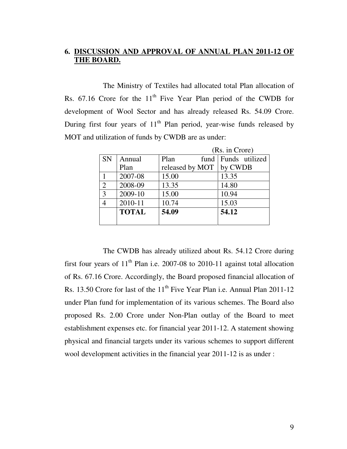## **6. DISCUSSION AND APPROVAL OF ANNUAL PLAN 2011-12 OF THE BOARD.**

 The Ministry of Textiles had allocated total Plan allocation of Rs.  $67.16$  Crore for the  $11<sup>th</sup>$  Five Year Plan period of the CWDB for development of Wool Sector and has already released Rs. 54.09 Crore. During first four years of  $11<sup>th</sup>$  Plan period, year-wise funds released by MOT and utilization of funds by CWDB are as under:

|                |              | (Rs. in Crore)  |      |         |                |
|----------------|--------------|-----------------|------|---------|----------------|
| <b>SN</b>      | Annual       | Plan            | fund |         | Funds utilized |
|                | Plan         | released by MOT |      | by CWDB |                |
|                | 2007-08      | 15.00           |      | 13.35   |                |
| 2              | 2008-09      | 13.35           |      | 14.80   |                |
| 3              | 2009-10      | 15.00           |      | 10.94   |                |
| $\overline{4}$ | 2010-11      | 10.74           |      | 15.03   |                |
|                | <b>TOTAL</b> | 54.09           |      | 54.12   |                |
|                |              |                 |      |         |                |

 The CWDB has already utilized about Rs. 54.12 Crore during first four years of  $11<sup>th</sup>$  Plan i.e. 2007-08 to 2010-11 against total allocation of Rs. 67.16 Crore. Accordingly, the Board proposed financial allocation of Rs. 13.50 Crore for last of the 11<sup>th</sup> Five Year Plan i.e. Annual Plan 2011-12 under Plan fund for implementation of its various schemes. The Board also proposed Rs. 2.00 Crore under Non-Plan outlay of the Board to meet establishment expenses etc. for financial year 2011-12. A statement showing physical and financial targets under its various schemes to support different wool development activities in the financial year 2011-12 is as under :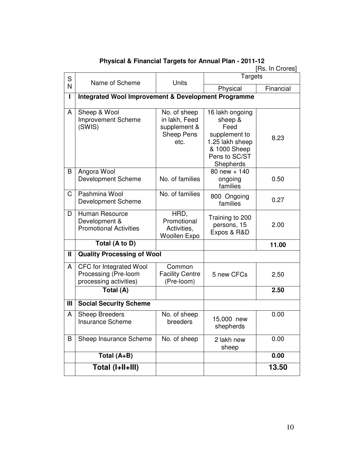|              | [Rs. In Crores]                                                           |                                                                            |                                                                                                                      |           |  |  |
|--------------|---------------------------------------------------------------------------|----------------------------------------------------------------------------|----------------------------------------------------------------------------------------------------------------------|-----------|--|--|
| S            | Name of Scheme                                                            | <b>Units</b>                                                               | <b>Targets</b>                                                                                                       |           |  |  |
| N            |                                                                           |                                                                            | Physical                                                                                                             | Financial |  |  |
| I            | <b>Integrated Wool Improvement &amp; Development Programme</b>            |                                                                            |                                                                                                                      |           |  |  |
| A            | Sheep & Wool<br><b>Improvement Scheme</b><br>(SWIS)                       | No. of sheep<br>in lakh, Feed<br>supplement &<br><b>Sheep Pens</b><br>etc. | 16 lakh ongoing<br>sheep &<br>Feed<br>supplement to<br>1.25 lakh sheep<br>& 1000 Sheep<br>Pens to SC/ST<br>Shepherds | 8.23      |  |  |
| B            | Angora Wool<br><b>Development Scheme</b>                                  | No. of families                                                            | 80 new + $140$<br>ongoing<br>families                                                                                | 0.50      |  |  |
| C            | Pashmina Wool<br><b>Development Scheme</b>                                | No. of families                                                            | 800 Ongoing<br>families                                                                                              | 0.27      |  |  |
| D            | Human Resource<br>Development &<br><b>Promotional Activities</b>          | HRD,<br>Promotional<br>Activities,<br><b>Woollen Expo</b>                  | Training to 200<br>persons, 15<br>Expos & R&D                                                                        | 2.00      |  |  |
|              | Total (A to D)                                                            |                                                                            |                                                                                                                      | 11.00     |  |  |
| $\mathbf{I}$ | <b>Quality Processing of Wool</b>                                         |                                                                            |                                                                                                                      |           |  |  |
| A            | CFC for Integrated Wool<br>Processing (Pre-loom<br>processing activities) | Common<br><b>Facility Centre</b><br>(Pre-loom)                             | 5 new CFCs                                                                                                           | 2.50      |  |  |
|              | Total $(A)$                                                               |                                                                            |                                                                                                                      | 2.50      |  |  |
| III          | <b>Social Security Scheme</b>                                             |                                                                            |                                                                                                                      |           |  |  |
| A            | <b>Sheep Breeders</b><br><b>Insurance Scheme</b>                          | No. of sheep<br>breeders                                                   | 15,000 new<br>shepherds                                                                                              | 0.00      |  |  |
| B            | Sheep Insurance Scheme                                                    | No. of sheep                                                               | 2 lakh new<br>sheep                                                                                                  | 0.00      |  |  |
|              | Total (A+B)                                                               |                                                                            |                                                                                                                      | 0.00      |  |  |
|              | Total (I+II+III)                                                          |                                                                            |                                                                                                                      | 13.50     |  |  |

#### **Physical & Financial Targets for Annual Plan - 2011-12**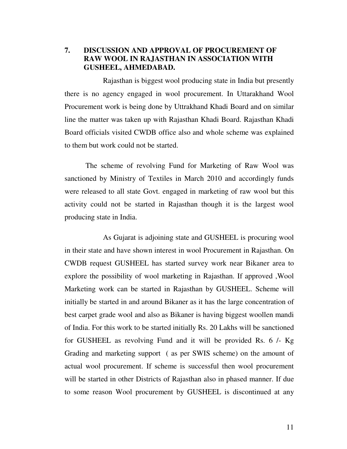**7. DISCUSSION AND APPROVAL OF PROCUREMENT OF RAW WOOL IN RAJASTHAN IN ASSOCIATION WITH GUSHEEL, AHMEDABAD.** 

 Rajasthan is biggest wool producing state in India but presently there is no agency engaged in wool procurement. In Uttarakhand Wool Procurement work is being done by Uttrakhand Khadi Board and on similar line the matter was taken up with Rajasthan Khadi Board. Rajasthan Khadi Board officials visited CWDB office also and whole scheme was explained to them but work could not be started.

 The scheme of revolving Fund for Marketing of Raw Wool was sanctioned by Ministry of Textiles in March 2010 and accordingly funds were released to all state Govt. engaged in marketing of raw wool but this activity could not be started in Rajasthan though it is the largest wool producing state in India.

 As Gujarat is adjoining state and GUSHEEL is procuring wool in their state and have shown interest in wool Procurement in Rajasthan. On CWDB request GUSHEEL has started survey work near Bikaner area to explore the possibility of wool marketing in Rajasthan. If approved ,Wool Marketing work can be started in Rajasthan by GUSHEEL. Scheme will initially be started in and around Bikaner as it has the large concentration of best carpet grade wool and also as Bikaner is having biggest woollen mandi of India. For this work to be started initially Rs. 20 Lakhs will be sanctioned for GUSHEEL as revolving Fund and it will be provided Rs. 6 /- Kg Grading and marketing support ( as per SWIS scheme) on the amount of actual wool procurement. If scheme is successful then wool procurement will be started in other Districts of Rajasthan also in phased manner. If due to some reason Wool procurement by GUSHEEL is discontinued at any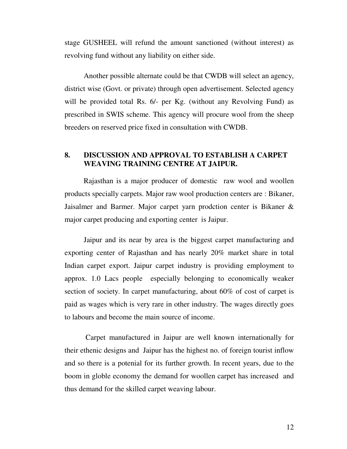stage GUSHEEL will refund the amount sanctioned (without interest) as revolving fund without any liability on either side.

Another possible alternate could be that CWDB will select an agency, district wise (Govt. or private) through open advertisement. Selected agency will be provided total Rs. 6/- per Kg. (without any Revolving Fund) as prescribed in SWIS scheme. This agency will procure wool from the sheep breeders on reserved price fixed in consultation with CWDB.

#### **8. DISCUSSION AND APPROVAL TO ESTABLISH A CARPET WEAVING TRAINING CENTRE AT JAIPUR.**

Rajasthan is a major producer of domestic raw wool and woollen products specially carpets. Major raw wool production centers are : Bikaner, Jaisalmer and Barmer. Major carpet yarn prodction center is Bikaner & major carpet producing and exporting center is Jaipur.

Jaipur and its near by area is the biggest carpet manufacturing and exporting center of Rajasthan and has nearly 20% market share in total Indian carpet export. Jaipur carpet industry is providing employment to approx. 1.0 Lacs people especially belonging to economically weaker section of society. In carpet manufacturing, about 60% of cost of carpet is paid as wages which is very rare in other industry. The wages directly goes to labours and become the main source of income.

 Carpet manufactured in Jaipur are well known internationally for their ethenic designs and Jaipur has the highest no. of foreign tourist inflow and so there is a potenial for its further growth. In recent years, due to the boom in globle economy the demand for woollen carpet has increased and thus demand for the skilled carpet weaving labour.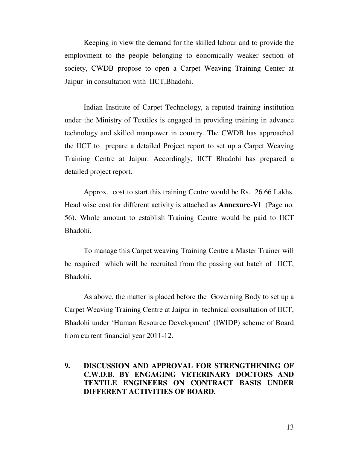Keeping in view the demand for the skilled labour and to provide the employment to the people belonging to eonomically weaker section of society, CWDB propose to open a Carpet Weaving Training Center at Jaipur in consultation with IICT,Bhadohi.

Indian Institute of Carpet Technology, a reputed training institution under the Ministry of Textiles is engaged in providing training in advance technology and skilled manpower in country. The CWDB has approached the IICT to prepare a detailed Project report to set up a Carpet Weaving Training Centre at Jaipur. Accordingly, IICT Bhadohi has prepared a detailed project report.

Approx. cost to start this training Centre would be Rs. 26.66 Lakhs. Head wise cost for different activity is attached as **Annexure-VI** (Page no. 56). Whole amount to establish Training Centre would be paid to IICT Bhadohi.

To manage this Carpet weaving Training Centre a Master Trainer will be required which will be recruited from the passing out batch of IICT, Bhadohi.

As above, the matter is placed before the Governing Body to set up a Carpet Weaving Training Centre at Jaipur in technical consultation of IICT, Bhadohi under 'Human Resource Development' (IWIDP) scheme of Board from current financial year 2011-12.

## **9. DISCUSSION AND APPROVAL FOR STRENGTHENING OF C.W.D.B. BY ENGAGING VETERINARY DOCTORS AND TEXTILE ENGINEERS ON CONTRACT BASIS UNDER DIFFERENT ACTIVITIES OF BOARD.**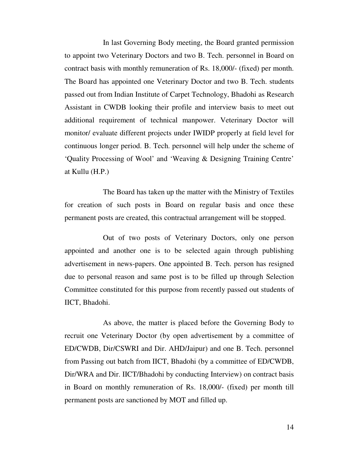In last Governing Body meeting, the Board granted permission to appoint two Veterinary Doctors and two B. Tech. personnel in Board on contract basis with monthly remuneration of Rs. 18,000/- (fixed) per month. The Board has appointed one Veterinary Doctor and two B. Tech. students passed out from Indian Institute of Carpet Technology, Bhadohi as Research Assistant in CWDB looking their profile and interview basis to meet out additional requirement of technical manpower. Veterinary Doctor will monitor/ evaluate different projects under IWIDP properly at field level for continuous longer period. B. Tech. personnel will help under the scheme of 'Quality Processing of Wool' and 'Weaving & Designing Training Centre' at Kullu (H.P.)

 The Board has taken up the matter with the Ministry of Textiles for creation of such posts in Board on regular basis and once these permanent posts are created, this contractual arrangement will be stopped.

 Out of two posts of Veterinary Doctors, only one person appointed and another one is to be selected again through publishing advertisement in news-papers. One appointed B. Tech. person has resigned due to personal reason and same post is to be filled up through Selection Committee constituted for this purpose from recently passed out students of IICT, Bhadohi.

 As above, the matter is placed before the Governing Body to recruit one Veterinary Doctor (by open advertisement by a committee of ED/CWDB, Dir/CSWRI and Dir. AHD/Jaipur) and one B. Tech. personnel from Passing out batch from IICT, Bhadohi (by a committee of ED/CWDB, Dir/WRA and Dir. IICT/Bhadohi by conducting Interview) on contract basis in Board on monthly remuneration of Rs. 18,000/- (fixed) per month till permanent posts are sanctioned by MOT and filled up.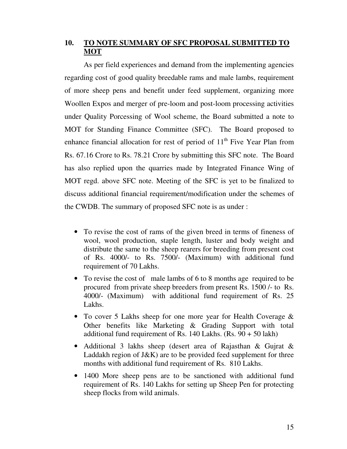## **10. TO NOTE SUMMARY OF SFC PROPOSAL SUBMITTED TO MOT**

 As per field experiences and demand from the implementing agencies regarding cost of good quality breedable rams and male lambs, requirement of more sheep pens and benefit under feed supplement, organizing more Woollen Expos and merger of pre-loom and post-loom processing activities under Quality Porcessing of Wool scheme, the Board submitted a note to MOT for Standing Finance Committee (SFC). The Board proposed to enhance financial allocation for rest of period of  $11<sup>th</sup>$  Five Year Plan from Rs. 67.16 Crore to Rs. 78.21 Crore by submitting this SFC note. The Board has also replied upon the quarries made by Integrated Finance Wing of MOT regd. above SFC note. Meeting of the SFC is yet to be finalized to discuss additional financial requirement/modification under the schemes of the CWDB. The summary of proposed SFC note is as under :

- To revise the cost of rams of the given breed in terms of fineness of wool, wool production, staple length, luster and body weight and distribute the same to the sheep rearers for breeding from present cost of Rs. 4000/- to Rs. 7500/- (Maximum) with additional fund requirement of 70 Lakhs.
- To revise the cost of male lambs of 6 to 8 months age required to be procured from private sheep breeders from present Rs. 1500 /- to Rs. 4000/- (Maximum) with additional fund requirement of Rs. 25 Lakhs.
- To cover 5 Lakhs sheep for one more year for Health Coverage & Other benefits like Marketing & Grading Support with total additional fund requirement of Rs.  $140$  Lakhs. (Rs.  $90 + 50$  lakh)
- Additional 3 lakhs sheep (desert area of Rajasthan & Gujrat & Laddakh region of J&K) are to be provided feed supplement for three months with additional fund requirement of Rs. 810 Lakhs.
- 1400 More sheep pens are to be sanctioned with additional fund requirement of Rs. 140 Lakhs for setting up Sheep Pen for protecting sheep flocks from wild animals.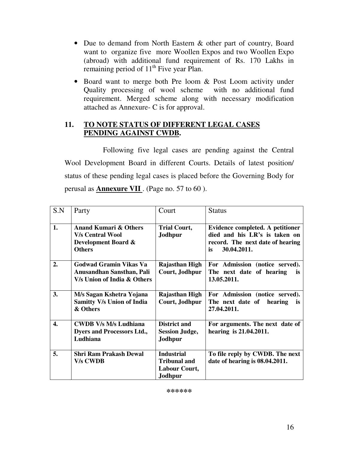- Due to demand from North Eastern & other part of country, Board want to organize five more Woollen Expos and two Woollen Expo (abroad) with additional fund requirement of Rs. 170 Lakhs in remaining period of  $11<sup>th</sup>$  Five year Plan.
- Board want to merge both Pre loom & Post Loom activity under Quality processing of wool scheme with no additional fund requirement. Merged scheme along with necessary modification attached as Annexure- C is for approval.

## **11. TO NOTE STATUS OF DIFFERENT LEGAL CASES PENDING AGAINST CWDB.**

 Following five legal cases are pending against the Central Wool Development Board in different Courts. Details of latest position/ status of these pending legal cases is placed before the Governing Body for perusal as **Annexure VII** . (Page no. 57 to 60 ).

| S.N | Party                                                                                               | Court                                                                       | <b>Status</b>                                                                                                              |
|-----|-----------------------------------------------------------------------------------------------------|-----------------------------------------------------------------------------|----------------------------------------------------------------------------------------------------------------------------|
| 1.  | <b>Anand Kumari &amp; Others</b><br><b>V/s Central Wool</b><br>Development Board &<br><b>Others</b> | <b>Trial Court,</b><br>Jodhpur                                              | Evidence completed. A petitioner<br>died and his LR's is taken on<br>record. The next date of hearing<br>30.04.2011.<br>is |
| 2.  | Godwad Gramin Vikas Va<br>Anusandhan Sansthan, Pali<br>V/s Union of India & Others                  | Rajasthan High<br>Court, Jodhpur                                            | For Admission (notice served).<br>The next date of hearing<br>is.<br>13.05.2011.                                           |
| 3.  | M/s Sagan Kshetra Yojana<br><b>Samitty V/s Union of India</b><br>& Others                           | <b>Rajasthan High</b><br>Court, Jodhpur                                     | For Admission (notice served).<br>The next date of hearing<br><b>is</b><br>27.04.2011.                                     |
| 4.  | <b>CWDB V/s M/s Ludhiana</b><br><b>Dyers and Processors Ltd.,</b><br>Ludhiana                       | <b>District and</b><br><b>Session Judge,</b><br>Jodhpur                     | For arguments. The next date of<br>hearing is 21.04.2011.                                                                  |
| 5.  | <b>Shri Ram Prakash Dewal</b><br><b>V/s CWDB</b>                                                    | <b>Industrial</b><br><b>Tribunal and</b><br><b>Labour Court,</b><br>Jodhpur | To file reply by CWDB. The next<br>date of hearing is 08.04.2011.                                                          |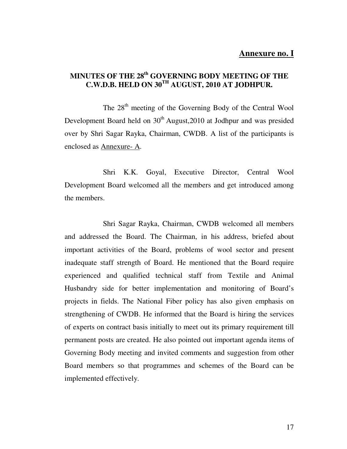#### **Annexure no. I**

## **MINUTES OF THE 28th GOVERNING BODY MEETING OF THE C.W.D.B. HELD ON 30TH AUGUST, 2010 AT JODHPUR.**

The 28<sup>th</sup> meeting of the Governing Body of the Central Wool Development Board held on  $30<sup>th</sup>$  August, 2010 at Jodhpur and was presided over by Shri Sagar Rayka, Chairman, CWDB. A list of the participants is enclosed as Annexure- A.

 Shri K.K. Goyal, Executive Director, Central Wool Development Board welcomed all the members and get introduced among the members.

 Shri Sagar Rayka, Chairman, CWDB welcomed all members and addressed the Board. The Chairman, in his address, briefed about important activities of the Board, problems of wool sector and present inadequate staff strength of Board. He mentioned that the Board require experienced and qualified technical staff from Textile and Animal Husbandry side for better implementation and monitoring of Board's projects in fields. The National Fiber policy has also given emphasis on strengthening of CWDB. He informed that the Board is hiring the services of experts on contract basis initially to meet out its primary requirement till permanent posts are created. He also pointed out important agenda items of Governing Body meeting and invited comments and suggestion from other Board members so that programmes and schemes of the Board can be implemented effectively.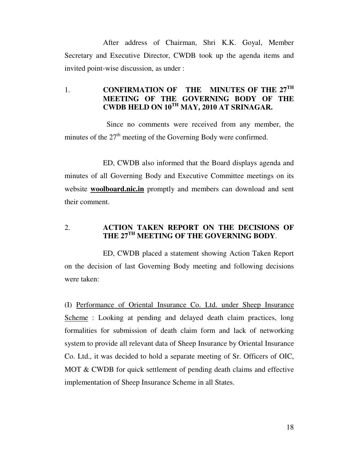After address of Chairman, Shri K.K. Goyal, Member Secretary and Executive Director, CWDB took up the agenda items and invited point-wise discussion, as under :

## 1. **CONFIRMATION OF THE MINUTES OF THE 27TH MEETING OF THE GOVERNING BODY OF THE CWDB HELD ON 10TH MAY, 2010 AT SRINAGAR.**

 Since no comments were received from any member, the minutes of the  $27<sup>th</sup>$  meeting of the Governing Body were confirmed.

 ED, CWDB also informed that the Board displays agenda and minutes of all Governing Body and Executive Committee meetings on its website **woolboard.nic.in** promptly and members can download and sent their comment.

## 2. **ACTION TAKEN REPORT ON THE DECISIONS OF THE 27TH MEETING OF THE GOVERNING BODY**.

 ED, CWDB placed a statement showing Action Taken Report on the decision of last Governing Body meeting and following decisions were taken:

(I) Performance of Oriental Insurance Co. Ltd. under Sheep Insurance Scheme : Looking at pending and delayed death claim practices, long formalities for submission of death claim form and lack of networking system to provide all relevant data of Sheep Insurance by Oriental Insurance Co. Ltd., it was decided to hold a separate meeting of Sr. Officers of OIC, MOT & CWDB for quick settlement of pending death claims and effective implementation of Sheep Insurance Scheme in all States.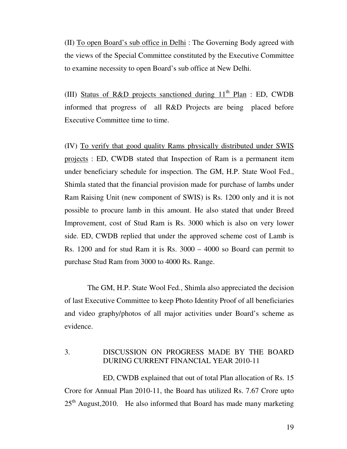(II) To open Board's sub office in Delhi : The Governing Body agreed with the views of the Special Committee constituted by the Executive Committee to examine necessity to open Board's sub office at New Delhi.

(III) Status of R&D projects sanctioned during  $11<sup>th</sup>$  Plan : ED, CWDB informed that progress of all R&D Projects are being placed before Executive Committee time to time.

(IV) To verify that good quality Rams physically distributed under SWIS projects : ED, CWDB stated that Inspection of Ram is a permanent item under beneficiary schedule for inspection. The GM, H.P. State Wool Fed., Shimla stated that the financial provision made for purchase of lambs under Ram Raising Unit (new component of SWIS) is Rs. 1200 only and it is not possible to procure lamb in this amount. He also stated that under Breed Improvement, cost of Stud Ram is Rs. 3000 which is also on very lower side. ED, CWDB replied that under the approved scheme cost of Lamb is Rs. 1200 and for stud Ram it is Rs. 3000 – 4000 so Board can permit to purchase Stud Ram from 3000 to 4000 Rs. Range.

 The GM, H.P. State Wool Fed., Shimla also appreciated the decision of last Executive Committee to keep Photo Identity Proof of all beneficiaries and video graphy/photos of all major activities under Board's scheme as evidence.

#### 3. DISCUSSION ON PROGRESS MADE BY THE BOARD DURING CURRENT FINANCIAL YEAR 2010-11

 ED, CWDB explained that out of total Plan allocation of Rs. 15 Crore for Annual Plan 2010-11, the Board has utilized Rs. 7.67 Crore upto  $25<sup>th</sup>$  August, 2010. He also informed that Board has made many marketing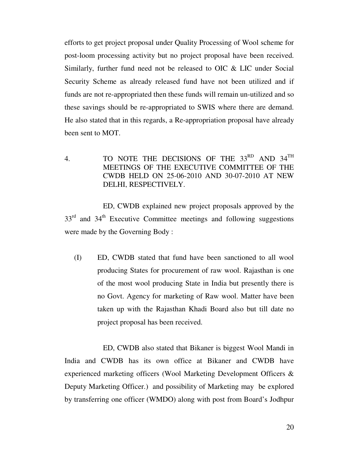efforts to get project proposal under Quality Processing of Wool scheme for post-loom processing activity but no project proposal have been received. Similarly, further fund need not be released to OIC & LIC under Social Security Scheme as already released fund have not been utilized and if funds are not re-appropriated then these funds will remain un-utilized and so these savings should be re-appropriated to SWIS where there are demand. He also stated that in this regards, a Re-appropriation proposal have already been sent to MOT.

4. TO NOTE THE DECISIONS OF THE 33<sup>RD</sup> AND 34<sup>TH</sup> MEETINGS OF THE EXECUTIVE COMMITTEE OF THE CWDB HELD ON 25-06-2010 AND 30-07-2010 AT NEW DELHI, RESPECTIVELY.

 ED, CWDB explained new project proposals approved by the 33<sup>rd</sup> and 34<sup>th</sup> Executive Committee meetings and following suggestions were made by the Governing Body :

(I) ED, CWDB stated that fund have been sanctioned to all wool producing States for procurement of raw wool. Rajasthan is one of the most wool producing State in India but presently there is no Govt. Agency for marketing of Raw wool. Matter have been taken up with the Rajasthan Khadi Board also but till date no project proposal has been received.

 ED, CWDB also stated that Bikaner is biggest Wool Mandi in India and CWDB has its own office at Bikaner and CWDB have experienced marketing officers (Wool Marketing Development Officers & Deputy Marketing Officer.) and possibility of Marketing may be explored by transferring one officer (WMDO) along with post from Board's Jodhpur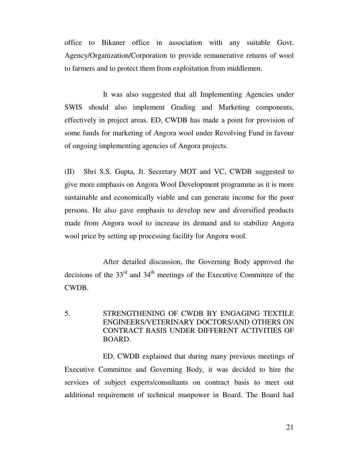office to Bikaner office in association with any suitable Govt. Agency/Organization/Corporation to provide remunerative returns of wool to farmers and to protect them from exploitation from middlemen.

 It was also suggested that all Implementing Agencies under SWIS should also implement Grading and Marketing components, effectively in project areas. ED, CWDB has made a point for provision of some funds for marketing of Angora wool under Revolving Fund in favour of ongoing implementing agencies of Angora projects.

(II) Shri S.S. Gupta, Jt. Secretary MOT and VC, CWDB suggested to give more emphasis on Angora Wool Development programme as it is more sustainable and economically viable and can generate income for the poor persons. He also gave emphasis to develop new and diversified products made from Angora wool to increase its demand and to stabilize Angora wool price by setting up processing facility for Angora wool.

 After detailed discussion, the Governing Body approved the decisions of the  $33<sup>rd</sup>$  and  $34<sup>th</sup>$  meetings of the Executive Committee of the CWDB.

## 5. STRENGTHENING OF CWDB BY ENGAGING TEXTILE ENGINEERS/VETERINARY DOCTORS/AND OTHERS ON CONTRACT BASIS UNDER DIFFERENT ACTIVITIES OF BOARD.

 ED, CWDB explained that during many previous meetings of Executive Committee and Governing Body, it was decided to hire the services of subject experts/consultants on contract basis to meet out additional requirement of technical manpower in Board. The Board had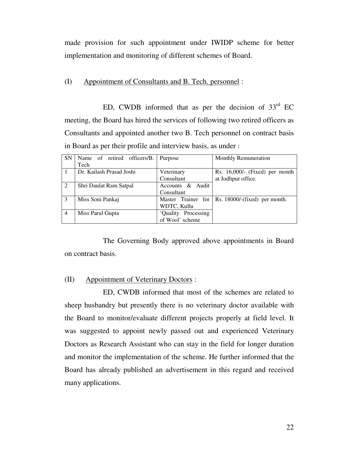made provision for such appointment under IWIDP scheme for better implementation and monitoring of different schemes of Board.

(I) Appointment of Consultants and B. Tech. personnel :

ED, CWDB informed that as per the decision of  $33<sup>rd</sup>$  EC meeting, the Board has hired the services of following two retired officers as Consultants and appointed another two B. Tech personnel on contract basis in Board as per their profile and interview basis, as under :

| <b>SN</b>      | Name of retired officers/B. | Purpose             | Monthly Remuneration             |
|----------------|-----------------------------|---------------------|----------------------------------|
|                | Tech                        |                     |                                  |
|                | Dr. Kailash Prasad Joshi    | Veterinary          | Rs. 16,000/- (Fixed) per month   |
|                |                             | Consultant          | at Jodhpur office.               |
| 2              | Shri Daulat Ram Satpal      | Accounts & Audit    |                                  |
|                |                             | Consultant          |                                  |
| 3              | Miss Soni Pankaj            | Master Trainer for  | Rs. $18000$ /-(fixed) per month. |
|                |                             | WDTC, Kullu         |                                  |
| $\overline{4}$ | Miss Parul Gupta            | 'Quality Processing |                                  |
|                |                             | of Wool' scheme     |                                  |

 The Governing Body approved above appointments in Board on contract basis.

#### (II) Appointment of Veterinary Doctors :

 ED, CWDB informed that most of the schemes are related to sheep husbandry but presently there is no veterinary doctor available with the Board to monitor/evaluate different projects properly at field level. It was suggested to appoint newly passed out and experienced Veterinary Doctors as Research Assistant who can stay in the field for longer duration and monitor the implementation of the scheme. He further informed that the Board has already published an advertisement in this regard and received many applications.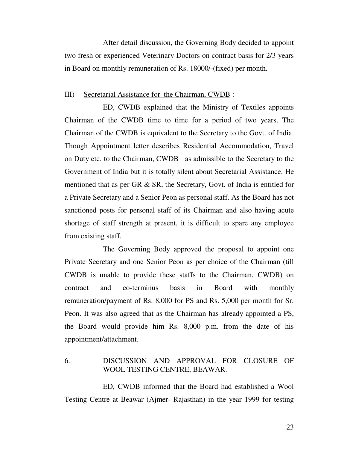After detail discussion, the Governing Body decided to appoint two fresh or experienced Veterinary Doctors on contract basis for 2/3 years in Board on monthly remuneration of Rs. 18000/-(fixed) per month.

#### III) Secretarial Assistance for the Chairman, CWDB :

 ED, CWDB explained that the Ministry of Textiles appoints Chairman of the CWDB time to time for a period of two years. The Chairman of the CWDB is equivalent to the Secretary to the Govt. of India. Though Appointment letter describes Residential Accommodation, Travel on Duty etc. to the Chairman, CWDB as admissible to the Secretary to the Government of India but it is totally silent about Secretarial Assistance. He mentioned that as per GR & SR, the Secretary, Govt. of India is entitled for a Private Secretary and a Senior Peon as personal staff. As the Board has not sanctioned posts for personal staff of its Chairman and also having acute shortage of staff strength at present, it is difficult to spare any employee from existing staff.

 The Governing Body approved the proposal to appoint one Private Secretary and one Senior Peon as per choice of the Chairman (till CWDB is unable to provide these staffs to the Chairman, CWDB) on contract and co-terminus basis in Board with monthly remuneration/payment of Rs. 8,000 for PS and Rs. 5,000 per month for Sr. Peon. It was also agreed that as the Chairman has already appointed a PS, the Board would provide him Rs. 8,000 p.m. from the date of his appointment/attachment.

#### 6. DISCUSSION AND APPROVAL FOR CLOSURE OF WOOL TESTING CENTRE, BEAWAR.

 ED, CWDB informed that the Board had established a Wool Testing Centre at Beawar (Ajmer- Rajasthan) in the year 1999 for testing

23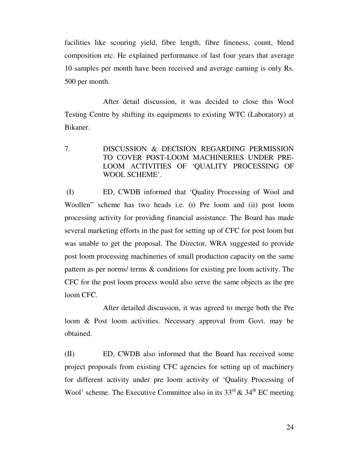facilities like scouring yield, fibre length, fibre fineness, count, blend composition etc. He explained performance of last four years that average 10 samples per month have been received and average earning is only Rs. 500 per month.

 After detail discussion, it was decided to close this Wool Testing Centre by shifting its equipments to existing WTC (Laboratory) at Bikaner.

7. DISCUSSION & DECISION REGARDING PERMISSION TO COVER POST-LOOM MACHINERIES UNDER PRE-LOOM ACTIVITIES OF 'QUALITY PROCESSING OF WOOL SCHEME'.

 (I) ED, CWDB informed that 'Quality Processing of Wool and Woollen" scheme has two heads i.e. (i) Pre loom and (ii) post loom processing activity for providing financial assistance. The Board has made several marketing efforts in the past for setting up of CFC for post loom but was unable to get the proposal. The Director, WRA suggested to provide post loom processing machineries of small production capacity on the same pattern as per norms/ terms & conditions for existing pre loom activity. The CFC for the post loom process would also serve the same objects as the pre loom CFC.

 After detailed discussion, it was agreed to merge both the Pre loom & Post loom activities. Necessary approval from Govt. may be obtained.

(II) ED, CWDB also informed that the Board has received some project proposals from existing CFC agencies for setting up of machinery for different activity under pre loom activity of 'Quality Processing of Wool' scheme. The Executive Committee also in its  $33<sup>rd</sup> \& 34<sup>th</sup> EC meeting$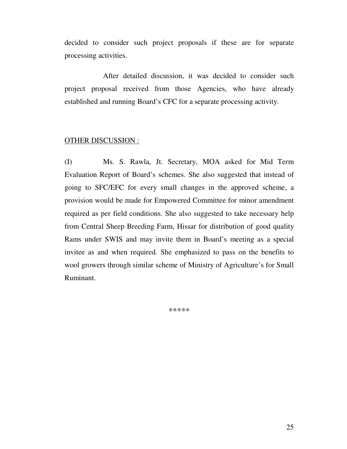decided to consider such project proposals if these are for separate processing activities.

 After detailed discussion, it was decided to consider such project proposal received from those Agencies, who have already established and running Board's CFC for a separate processing activity.

#### OTHER DISCUSSION :

(I) Ms. S. Rawla, Jt. Secretary, MOA asked for Mid Term Evaluation Report of Board's schemes. She also suggested that instead of going to SFC/EFC for every small changes in the approved scheme, a provision would be made for Empowered Committee for minor amendment required as per field conditions. She also suggested to take necessary help from Central Sheep Breeding Farm, Hissar for distribution of good quality Rams under SWIS and may invite them in Board's meeting as a special invitee as and when required. She emphasized to pass on the benefits to wool growers through similar scheme of Ministry of Agriculture's for Small Ruminant.

\*\*\*\*\*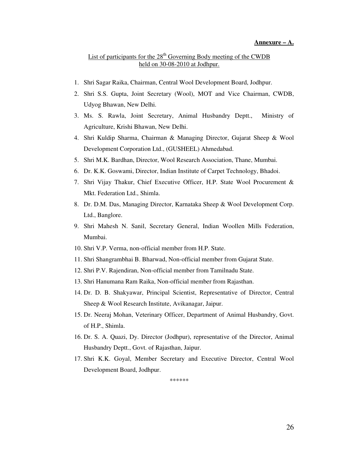#### **Annexure – A.**

#### List of participants for the  $28<sup>th</sup>$  Governing Body meeting of the CWDB held on 30-08-2010 at Jodhpur.

- 1. Shri Sagar Raika, Chairman, Central Wool Development Board, Jodhpur.
- 2. Shri S.S. Gupta, Joint Secretary (Wool), MOT and Vice Chairman, CWDB, Udyog Bhawan, New Delhi.
- 3. Ms. S. Rawla, Joint Secretary, Animal Husbandry Deptt., Ministry of Agriculture, Krishi Bhawan, New Delhi.
- 4. Shri Kuldip Sharma, Chairman & Managing Director, Gujarat Sheep & Wool Development Corporation Ltd., (GUSHEEL) Ahmedabad.
- 5. Shri M.K. Bardhan, Director, Wool Research Association, Thane, Mumbai.
- 6. Dr. K.K. Goswami, Director, Indian Institute of Carpet Technology, Bhadoi.
- 7. Shri Vijay Thakur, Chief Executive Officer, H.P. State Wool Procurement & Mkt. Federation Ltd., Shimla.
- 8. Dr. D.M. Das, Managing Director, Karnataka Sheep & Wool Development Corp. Ltd., Banglore.
- 9. Shri Mahesh N. Sanil, Secretary General, Indian Woollen Mills Federation, Mumbai.
- 10. Shri V.P. Verma, non-official member from H.P. State.
- 11. Shri Shangrambhai B. Bharwad, Non-official member from Gujarat State.
- 12. Shri P.V. Rajendiran, Non-official member from Tamilnadu State.
- 13. Shri Hanumana Ram Raika, Non-official member from Rajasthan.
- 14. Dr. D. B. Shakyawar, Principal Scientist, Representative of Director, Central Sheep & Wool Research Institute, Avikanagar, Jaipur.
- 15. Dr. Neeraj Mohan, Veterinary Officer, Department of Animal Husbandry, Govt. of H.P., Shimla.
- 16. Dr. S. A. Quazi, Dy. Director (Jodhpur), representative of the Director, Animal Husbandry Deptt., Govt. of Rajasthan, Jaipur.
- 17. Shri K.K. Goyal, Member Secretary and Executive Director, Central Wool Development Board, Jodhpur.

\*\*\*\*\*\*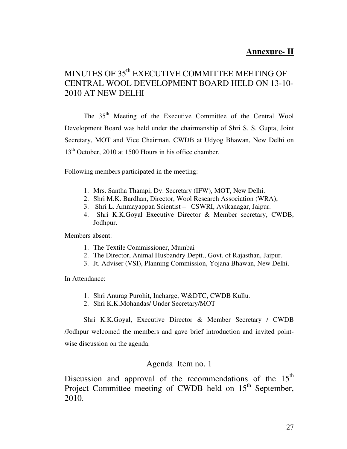## **Annexure- II**

## MINUTES OF 35<sup>th</sup> EXECUTIVE COMMITTEE MEETING OF CENTRAL WOOL DEVELOPMENT BOARD HELD ON 13-10- 2010 AT NEW DELHI

The 35<sup>th</sup> Meeting of the Executive Committee of the Central Wool Development Board was held under the chairmanship of Shri S. S. Gupta, Joint Secretary, MOT and Vice Chairman, CWDB at Udyog Bhawan, New Delhi on 13<sup>th</sup> October, 2010 at 1500 Hours in his office chamber.

Following members participated in the meeting:

- 1. Mrs. Santha Thampi, Dy. Secretary (IFW), MOT, New Delhi.
- 2. Shri M.K. Bardhan, Director, Wool Research Association (WRA),
- 3. Shri L. Ammayappan Scientist CSWRI, Avikanagar, Jaipur.
- 4. Shri K.K.Goyal Executive Director & Member secretary, CWDB, Jodhpur.

Members absent:

- 1. The Textile Commissioner, Mumbai
- 2. The Director, Animal Husbandry Deptt., Govt. of Rajasthan, Jaipur.
- 3. Jt. Adviser (VSI), Planning Commission, Yojana Bhawan, New Delhi.

In Attendance:

- 1. Shri Anurag Purohit, Incharge, W&DTC, CWDB Kullu.
- 2. Shri K.K.Mohandas/ Under Secretary/MOT

Shri K.K.Goyal, Executive Director & Member Secretary / CWDB /Jodhpur welcomed the members and gave brief introduction and invited pointwise discussion on the agenda.

## Agenda Item no. 1

Discussion and approval of the recommendations of the  $15<sup>th</sup>$ Project Committee meeting of CWDB held on 15<sup>th</sup> September, 2010.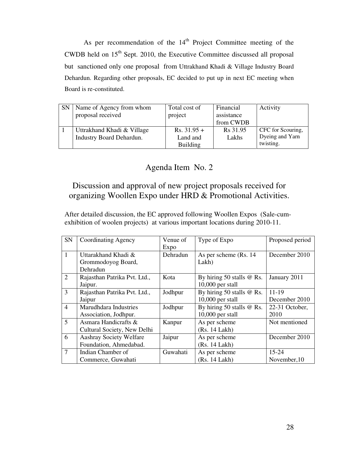As per recommendation of the  $14<sup>th</sup>$  Project Committee meeting of the CWDB held on  $15<sup>th</sup>$  Sept. 2010, the Executive Committee discussed all proposal but sanctioned only one proposal from Uttrakhand Khadi & Village Industry Board Dehardun. Regarding other proposals, EC decided to put up in next EC meeting when Board is re-constituted.

| <b>SN</b> | Name of Agency from whom        | Total cost of   | Financial  | Activity          |
|-----------|---------------------------------|-----------------|------------|-------------------|
|           | proposal received               | project         | assistance |                   |
|           |                                 |                 | from CWDB  |                   |
|           | Uttrakhand Khadi & Village      | $Rs. 31.95 +$   | Rs 31.95   | CFC for Scouring, |
|           | <b>Industry Board Dehardun.</b> | Land and        | Lakhs      | Dyeing and Yarn   |
|           |                                 | <b>Building</b> |            | twisting.         |

## Agenda Item No. 2

## Discussion and approval of new project proposals received for organizing Woollen Expo under HRD & Promotional Activities.

After detailed discussion, the EC approved following Woollen Expos (Sale-cumexhibition of woolen projects) at various important locations during 2010-11.

| <b>SN</b>      | <b>Coordinating Agency</b>     | Venue of | Type of Expo                | Proposed period |
|----------------|--------------------------------|----------|-----------------------------|-----------------|
|                |                                | Expo     |                             |                 |
| $\mathbf{1}$   | Uttarakhand Khadi &            | Dehradun | As per scheme (Rs. 14)      | December 2010   |
|                | Grommodoyog Board,             |          | Lakh)                       |                 |
|                | Dehradun                       |          |                             |                 |
| 2              | Rajasthan Patrika Pvt. Ltd.,   | Kota     | By hiring 50 stalls @ Rs.   | January 2011    |
|                | Jaipur.                        |          | $10,000$ per stall          |                 |
| 3              | Rajasthan Patrika Pvt. Ltd.,   | Jodhpur  | By hiring 50 stalls $@$ Rs. | $11 - 19$       |
|                | Jaipur                         |          | $10,000$ per stall          | December 2010   |
| $\overline{4}$ | Marudhdara Industries          | Jodhpur  | By hiring 50 stalls $@$ Rs. | 22-31 October,  |
|                | Association, Jodhpur.          |          | $10,000$ per stall          | 2010            |
| 5              | Asmara Handicrafts &           | Kanpur   | As per scheme               | Not mentioned   |
|                | Cultural Society, New Delhi    |          | (Rs. 14 Lakh)               |                 |
| 6              | <b>Aashray Society Welfare</b> | Jaipur   | As per scheme               | December 2010   |
|                | Foundation, Ahmedabad.         |          | (Rs. 14 Lakh)               |                 |
| 7              | Indian Chamber of              | Guwahati | As per scheme               | $15 - 24$       |
|                | Commerce, Guwahati             |          | (Rs. 14 Lakh)               | November, 10    |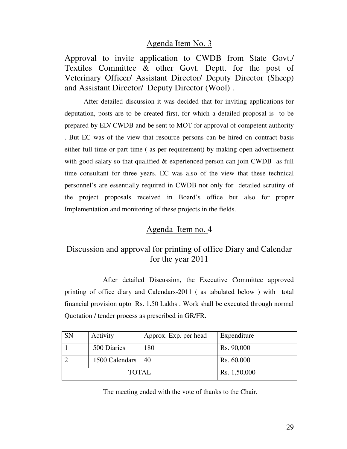## Agenda Item No. 3

Approval to invite application to CWDB from State Govt./ Textiles Committee & other Govt. Deptt. for the post of Veterinary Officer/ Assistant Director/ Deputy Director (Sheep) and Assistant Director/ Deputy Director (Wool) .

After detailed discussion it was decided that for inviting applications for deputation, posts are to be created first, for which a detailed proposal is to be prepared by ED/ CWDB and be sent to MOT for approval of competent authority . But EC was of the view that resource persons can be hired on contract basis either full time or part time ( as per requirement) by making open advertisement with good salary so that qualified & experienced person can join CWDB as full time consultant for three years. EC was also of the view that these technical personnel's are essentially required in CWDB not only for detailed scrutiny of the project proposals received in Board's office but also for proper Implementation and monitoring of these projects in the fields.

## Agenda Item no. 4

## Discussion and approval for printing of office Diary and Calendar for the year 2011

 After detailed Discussion, the Executive Committee approved printing of office diary and Calendars-2011 ( as tabulated below ) with total financial provision upto Rs. 1.50 Lakhs . Work shall be executed through normal Quotation / tender process as prescribed in GR/FR.

| <b>SN</b> | Activity             | Approx. Exp. per head | Expenditure  |
|-----------|----------------------|-----------------------|--------------|
|           | 500 Diaries          | 180                   | Rs. 90,000   |
|           | 1500 Calendars $ 40$ |                       | Rs. 60,000   |
|           | TOTAL                |                       | Rs. 1,50,000 |

The meeting ended with the vote of thanks to the Chair.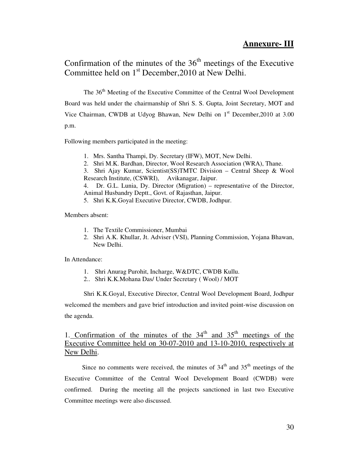## **Annexure- III**

## Confirmation of the minutes of the  $36<sup>th</sup>$  meetings of the Executive Committee held on 1<sup>st</sup> December, 2010 at New Delhi.

The 36<sup>th</sup> Meeting of the Executive Committee of the Central Wool Development Board was held under the chairmanship of Shri S. S. Gupta, Joint Secretary, MOT and Vice Chairman, CWDB at Udyog Bhawan, New Delhi on 1<sup>st</sup> December, 2010 at 3.00 p.m.

Following members participated in the meeting:

1. Mrs. Santha Thampi, Dy. Secretary (IFW), MOT, New Delhi.

2. Shri M.K. Bardhan, Director, Wool Research Association (WRA), Thane.

3. Shri Ajay Kumar, Scientist(SS)TMTC Division – Central Sheep & Wool Research Institute, (CSWRI), Avikanagar, Jaipur.

4. Dr. G.L. Lunia, Dy. Director (Migration) – representative of the Director, Animal Husbandry Deptt., Govt. of Rajasthan, Jaipur.

5. Shri K.K.Goyal Executive Director, CWDB, Jodhpur.

Members absent:

- 1. The Textile Commissioner, Mumbai
- 2. Shri A.K. Khullar, Jt. Adviser (VSI), Planning Commission, Yojana Bhawan, New Delhi.

In Attendance:

- 1. Shri Anurag Purohit, Incharge, W&DTC, CWDB Kullu.
- 2.. Shri K.K.Mohana Das/ Under Secretary ( Wool) / MOT

Shri K.K.Goyal, Executive Director, Central Wool Development Board, Jodhpur welcomed the members and gave brief introduction and invited point-wise discussion on the agenda.

1. Confirmation of the minutes of the  $34<sup>th</sup>$  and  $35<sup>th</sup>$  meetings of the Executive Committee held on 30-07-2010 and 13-10-2010, respectively at New Delhi.

Since no comments were received, the minutes of  $34<sup>th</sup>$  and  $35<sup>th</sup>$  meetings of the Executive Committee of the Central Wool Development Board (CWDB) were confirmed. During the meeting all the projects sanctioned in last two Executive Committee meetings were also discussed.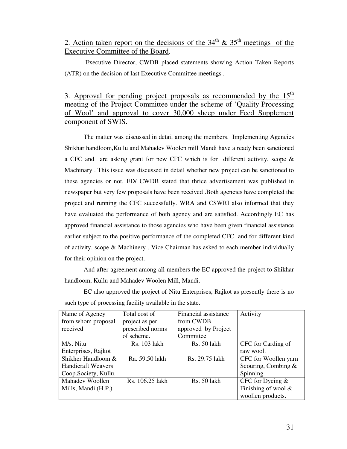## 2. Action taken report on the decisions of the  $34<sup>th</sup>$  &  $35<sup>th</sup>$  meetings of the Executive Committee of the Board.

 Executive Director, CWDB placed statements showing Action Taken Reports (ATR) on the decision of last Executive Committee meetings .

3. Approval for pending project proposals as recommended by the  $15<sup>th</sup>$ meeting of the Project Committee under the scheme of 'Quality Processing of Wool' and approval to cover 30,000 sheep under Feed Supplement component of SWIS.

 The matter was discussed in detail among the members. Implementing Agencies Shikhar handloom,Kullu and Mahadev Woolen mill Mandi have already been sanctioned a CFC and are asking grant for new CFC which is for different activity, scope & Machinary . This issue was discussed in detail whether new project can be sanctioned to these agencies or not. ED/ CWDB stated that thrice advertisement was published in newspaper but very few proposals have been received .Both agencies have completed the project and running the CFC successfully. WRA and CSWRI also informed that they have evaluated the performance of both agency and are satisfied. Accordingly EC has approved financial assistance to those agencies who have been given financial assistance earlier subject to the positive performance of the completed CFC and for different kind of activity, scope & Machinery . Vice Chairman has asked to each member individually for their opinion on the project.

 And after agreement among all members the EC approved the project to Shikhar handloom, Kullu and Mahadev Woolen Mill, Mandi.

| such type of processing facility available in the state. |                  |                      |                        |  |  |
|----------------------------------------------------------|------------------|----------------------|------------------------|--|--|
| Name of Agency                                           | Total cost of    | Financial assistance | Activity               |  |  |
| from whom proposal                                       | project as per   | from CWDB            |                        |  |  |
| received                                                 | prescribed norms | approved by Project  |                        |  |  |
|                                                          | of scheme.       | Committee            |                        |  |  |
| M/s. Nitu                                                | Rs. 103 lakh     | Rs. 50 lakh          | CFC for Carding of     |  |  |
| Enterprises, Rajkot                                      |                  |                      | raw wool.              |  |  |
| Shikher Handloom &                                       | Ra. 59.50 lakh   | Rs. 29.75 lakh       | CFC for Woollen yarn   |  |  |
| <b>Handicraft Weavers</b>                                |                  |                      | Scouring, Combing $&$  |  |  |
| Coop.Society, Kullu.                                     |                  |                      | Spinning.              |  |  |
| Mahadey Woollen                                          | Rs. 106.25 lakh  | <b>Rs.</b> 50 lakh   | CFC for Dyeing $&$     |  |  |
| Mills, Mandi (H.P.)                                      |                  |                      | Finishing of wool $\&$ |  |  |
|                                                          |                  |                      | woollen products.      |  |  |

 EC also approved the project of Nitu Enterprises, Rajkot as presently there is no such type of processing facility available in the state.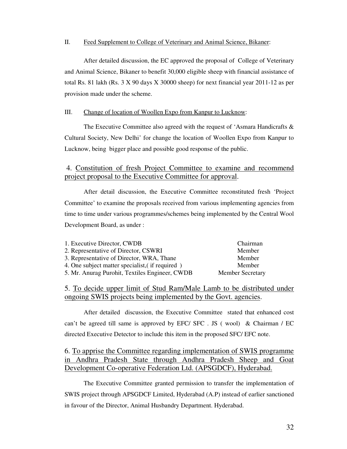#### II. Feed Supplement to College of Veterinary and Animal Science, Bikaner:

 After detailed discussion, the EC approved the proposal of College of Veterinary and Animal Science, Bikaner to benefit 30,000 eligible sheep with financial assistance of total Rs. 81 lakh (Rs. 3 X 90 days X 30000 sheep) for next financial year 2011-12 as per provision made under the scheme.

#### III. Change of location of Woollen Expo from Kanpur to Lucknow:

 The Executive Committee also agreed with the request of 'Asmara Handicrafts & Cultural Society, New Delhi' for change the location of Woollen Expo from Kanpur to Lucknow, being bigger place and possible good response of the public.

#### 4. Constitution of fresh Project Committee to examine and recommend project proposal to the Executive Committee for approval.

 After detail discussion, the Executive Committee reconstituted fresh 'Project Committee' to examine the proposals received from various implementing agencies from time to time under various programmes/schemes being implemented by the Central Wool Development Board, as under :

| 1. Executive Director, CWDB                     | Chairman                |
|-------------------------------------------------|-------------------------|
| 2. Representative of Director, CSWRI            | Member                  |
| 3. Representative of Director, WRA, Thane       | Member                  |
| 4. One subject matter specialist, (if required) | Member                  |
| 5. Mr. Anurag Purohit, Textiles Engineer, CWDB  | <b>Member Secretary</b> |

#### 5. To decide upper limit of Stud Ram/Male Lamb to be distributed under ongoing SWIS projects being implemented by the Govt. agencies.

 After detailed discussion, the Executive Committee stated that enhanced cost can't be agreed till same is approved by EFC/ SFC . JS ( wool) & Chairman / EC directed Executive Detector to include this item in the proposed SFC/ EFC note.

#### 6. To apprise the Committee regarding implementation of SWIS programme in Andhra Pradesh State through Andhra Pradesh Sheep and Goat Development Co-operative Federation Ltd. (APSGDCF), Hyderabad. İ

 The Executive Committee granted permission to transfer the implementation of SWIS project through APSGDCF Limited, Hyderabad (A.P) instead of earlier sanctioned in favour of the Director, Animal Husbandry Department. Hyderabad.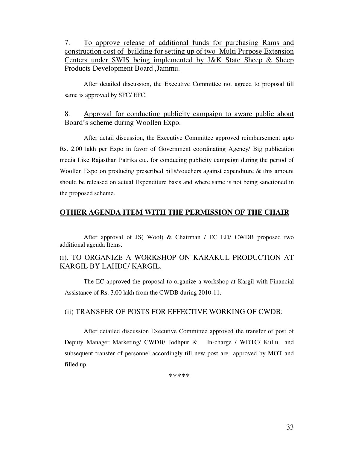7. To approve release of additional funds for purchasing Rams and construction cost of building for setting up of two Multi Purpose Extension Centers under SWIS being implemented by J&K State Sheep & Sheep Products Development Board ,Jammu.

After detailed discussion, the Executive Committee not agreed to proposal till same is approved by SFC/ EFC.

#### 8. Approval for conducting publicity campaign to aware public about Board's scheme during Woollen Expo.

 After detail discussion, the Executive Committee approved reimbursement upto Rs. 2.00 lakh per Expo in favor of Government coordinating Agency/ Big publication media Like Rajasthan Patrika etc. for conducing publicity campaign during the period of Woollen Expo on producing prescribed bills/vouchers against expenditure & this amount should be released on actual Expenditure basis and where same is not being sanctioned in the proposed scheme.

#### **OTHER AGENDA ITEM WITH THE PERMISSION OF THE CHAIR**

 After approval of JS( Wool) & Chairman / EC ED/ CWDB proposed two additional agenda Items.

## (i). TO ORGANIZE A WORKSHOP ON KARAKUL PRODUCTION AT KARGIL BY LAHDC/ KARGIL.

 The EC approved the proposal to organize a workshop at Kargil with Financial Assistance of Rs. 3.00 lakh from the CWDB during 2010-11.

#### (ii) TRANSFER OF POSTS FOR EFFECTIVE WORKING OF CWDB:

 After detailed discussion Executive Committee approved the transfer of post of Deputy Manager Marketing/ CWDB/ Jodhpur & In-charge / WDTC/ Kullu and subsequent transfer of personnel accordingly till new post are approved by MOT and filled up.

\*\*\*\*\*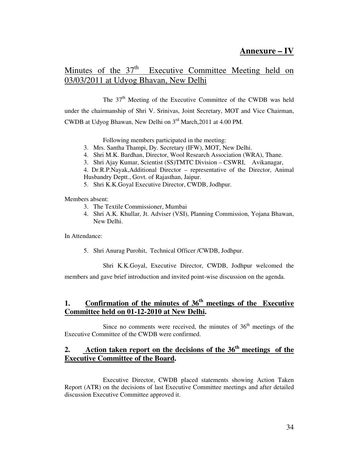## **Annexure – IV**

## Minutes of the 37<sup>th</sup> Executive Committee Meeting held on 03/03/2011 at Udyog Bhavan, New Delhi

The 37<sup>th</sup> Meeting of the Executive Committee of the CWDB was held under the chairmanship of Shri V. Srinivas, Joint Secretary, MOT and Vice Chairman, CWDB at Udyog Bhawan, New Delhi on 3rd March,2011 at 4.00 PM.

Following members participated in the meeting:

- 3. Mrs. Santha Thampi, Dy. Secretary (IFW), MOT, New Delhi.
- 4. Shri M.K. Bardhan, Director, Wool Research Association (WRA), Thane.

3. Shri Ajay Kumar, Scientist (SS)TMTC Division – CSWRI, Avikanagar,

4. Dr.R.P.Nayak,Additional Director – representative of the Director, Animal Husbandry Deptt., Govt. of Rajasthan, Jaipur.

5. Shri K.K.Goyal Executive Director, CWDB, Jodhpur.

Members absent:

- 3. The Textile Commissioner, Mumbai
- 4. Shri A.K. Khullar, Jt. Adviser (VSI), Planning Commission, Yojana Bhawan, New Delhi.

In Attendance:

5. Shri Anurag Purohit, Technical Officer /CWDB, Jodhpur.

Shri K.K.Goyal, Executive Director, CWDB, Jodhpur welcomed the

members and gave brief introduction and invited point-wise discussion on the agenda.

## **1. Confirmation of the minutes of 36th meetings of the Executive Committee held on 01-12-2010 at New Delhi.**

Since no comments were received, the minutes of  $36<sup>th</sup>$  meetings of the Executive Committee of the CWDB were confirmed.

## **2. Action taken report on the decisions of the 36th meetings of the Executive Committee of the Board.**

 Executive Director, CWDB placed statements showing Action Taken Report (ATR) on the decisions of last Executive Committee meetings and after detailed discussion Executive Committee approved it.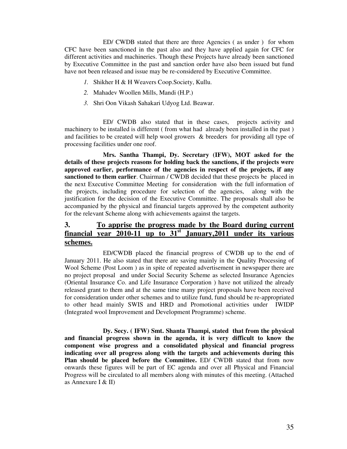ED/ CWDB stated that there are three Agencies ( as under ) for whom CFC have been sanctioned in the past also and they have applied again for CFC for different activities and machineries. Though these Projects have already been sanctioned by Executive Committee in the past and sanction order have also been issued but fund have not been released and issue may be re-considered by Executive Committee.

- *1.* Shikher H & H Weavers Coop.Society, Kullu.
- *2.* Mahadev Woollen Mills, Mandi (H.P.)
- *3.* Shri Oon Vikash Sahakari Udyog Ltd. Beawar.

 ED/ CWDB also stated that in these cases, projects activity and machinery to be installed is different ( from what had already been installed in the past ) and facilities to be created will help wool growers & breeders for providing all type of processing facilities under one roof.

 **Mrs. Santha Thampi, Dy. Secretary (IFW), MOT asked for the details of these projects reasons for holding back the sanctions, if the projects were approved earlier, performance of the agencies in respect of the projects, if any sanctioned to them earlier**. Chairman / CWDB decided that these projects be placed in the next Executive Committee Meeting for consideration with the full information of the projects, including procedure for selection of the agencies, along with the justification for the decision of the Executive Committee. The proposals shall also be accompanied by the physical and financial targets approved by the competent authority for the relevant Scheme along with achievements against the targets.

## **3. To apprise the progress made by the Board during current financial year 2010-11 up to 31st January,2011 under its various schemes.**

 ED/CWDB placed the financial progress of CWDB up to the end of January 2011. He also stated that there are saving mainly in the Quality Processing of Wool Scheme (Post Loom ) as in spite of repeated advertisement in newspaper there are no project proposal and under Social Security Scheme as selected Insurance Agencies (Oriental Insurance Co. and Life Insurance Corporation ) have not utilized the already released grant to them and at the same time many project proposals have been received for consideration under other schemes and to utilize fund, fund should be re-appropriated to other head mainly SWIS and HRD and Promotional activities under IWIDP (Integrated wool Improvement and Development Programme) scheme.

 **Dy. Secy. ( IFW) Smt. Shanta Thampi, stated that from the physical and financial progress shown in the agenda, it is very difficult to know the component wise progress and a consolidated physical and financial progress indicating over all progress along with the targets and achievements during this Plan should be placed before the Committee.** ED/ CWDB stated that from now onwards these figures will be part of EC agenda and over all Physical and Financial Progress will be circulated to all members along with minutes of this meeting. (Attached as Annexure I & II)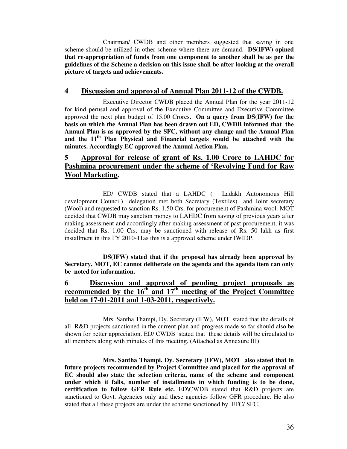Chairman/ CWDB and other members suggested that saving in one scheme should be utilized in other scheme where there are demand. **DS(IFW) opined that re-appropriation of funds from one component to another shall be as per the guidelines of the Scheme a decision on this issue shall be after looking at the overall picture of targets and achievements.** 

## **4 Discussion and approval of Annual Plan 2011-12 of the CWDB.**

 Executive Director CWDB placed the Annual Plan for the year 2011-12 for kind perusal and approval of the Executive Committee and Executive Committee approved the next plan budget of 15.00 Crores**. On a query from DS(IFW) for the basis on which the Annual Plan has been drawn out ED, CWDB informed that the Annual Plan is as approved by the SFC, without any change and the Annual Plan and the 11th Plan Physical and Financial targets would be attached with the minutes. Accordingly EC approved the Annual Action Plan.**

## **5 Approval for release of grant of Rs. 1.00 Crore to LAHDC for Pashmina procurement under the scheme of 'Revolving Fund for Raw Wool Marketing.**

 ED/ CWDB stated that a LAHDC ( Ladakh Autonomous Hill development Council) delegation met both Secretary (Textiles) and Joint secretary (Wool) and requested to sanction Rs. 1.50 Crs. for procurement of Pashmina wool. MOT decided that CWDB may sanction money to LAHDC from saving of previous years after making assessment and accordingly after making assessment of past procurement, it was decided that Rs. 1.00 Crs. may be sanctioned with release of Rs. 50 lakh as first installment in this FY 2010-11as this is a approved scheme under IWIDP.

 **DS(IFW) stated that if the proposal has already been approved by Secretary, MOT, EC cannot deliberate on the agenda and the agenda item can only be noted for information.**

## **6 Discussion and approval of pending project proposals as recommended** by the  $16^{\text{th}}$  and  $17^{\text{th}}$  meeting of the Project Committee **held on 17-01-2011 and 1-03-2011, respectively.**

 Mrs. Santha Thampi, Dy. Secretary (IFW), MOT stated that the details of all R&D projects sanctioned in the current plan and progress made so far should also be shown for better appreciation. ED/ CWDB stated that these details will be circulated to all members along with minutes of this meeting. (Attached as Annexure III)

 **Mrs. Santha Thampi, Dy. Secretary (IFW), MOT also stated that in future projects recommended by Project Committee and placed for the approval of EC should also state the selection criteria, name of the scheme and component under which it falls, number of installments in which funding is to be done, certification to follow GFR Rule etc.** ED\CWDB stated that R&D projects are sanctioned to Govt. Agencies only and these agencies follow GFR procedure. He also stated that all these projects are under the scheme sanctioned by EFC/ SFC.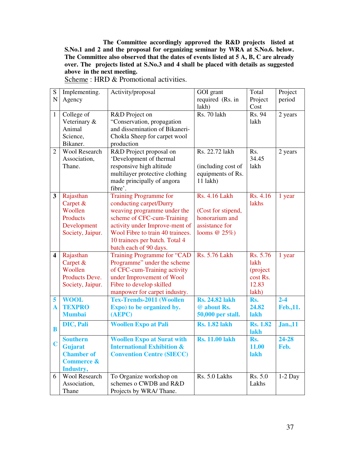**The Committee accordingly approved the R&D projects listed at S.No.1 and 2 and the proposal for organizing seminar by WRA at S.No.6. below. The Committee also observed that the dates of events listed at 5 A, B, C are already over. The projects listed at S.No.3 and 4 shall be placed with details as suggested above in the next meeting.** 

| ${\bf S}$      | Implementing.         | Activity/proposal                     | GOI grant             | Total           | Project         |
|----------------|-----------------------|---------------------------------------|-----------------------|-----------------|-----------------|
| $\mathbf N$    | Agency                |                                       | required (Rs. in      | Project         | period          |
|                |                       |                                       | lakh)                 | Cost            |                 |
| $\mathbf{1}$   | College of            | R&D Project on                        | Rs. 70 lakh           | Rs. 94          | 2 years         |
|                | Veterinary &          | "Conservation, propagation            |                       | lakh            |                 |
|                | Animal                | and dissemination of Bikaneri-        |                       |                 |                 |
|                | Science,              | Chokla Sheep for carpet wool          |                       |                 |                 |
|                | Bikaner.              | production                            |                       |                 |                 |
| $\overline{2}$ | <b>Wool Research</b>  | R&D Project proposal on               | Rs. 22.72 lakh        | Rs.             | 2 years         |
|                | Association,          | 'Development of thermal               |                       | 34.45           |                 |
|                | Thane.                | responsive high altitude              | (including cost of    | lakh            |                 |
|                |                       | multilayer protective clothing        | equipments of Rs.     |                 |                 |
|                |                       | made principally of angora            | $11$ lakh $)$         |                 |                 |
|                |                       | fibre'.                               |                       |                 |                 |
| $\mathbf{3}$   | Rajasthan             | <b>Training Programme for</b>         | <b>Rs. 4.16 Lakh</b>  | Rs. 4.16        | 1 year          |
|                | Carpet $&$            | conducting carpet/Durry               |                       | lakhs           |                 |
|                | Woollen               | weaving programme under the           | (Cost for stipend,    |                 |                 |
|                | Products              | scheme of CFC-cum-Training            | honorarium and        |                 |                 |
|                | Development           | activity under Improve-ment of        | assistance for        |                 |                 |
|                | Society, Jaipur.      | Wool Fibre to train 40 trainees.      | looms $@25\%$ )       |                 |                 |
|                |                       | 10 trainees per batch. Total 4        |                       |                 |                 |
|                |                       | batch each of 90 days.                |                       |                 |                 |
| 4              | Rajasthan             | Training Programme for "CAD           | <b>Rs. 5.76 Lakh</b>  | Rs. 5.76        | 1 year          |
|                | Carpet &              | Programme" under the scheme           |                       | lakh            |                 |
|                | Woollen               | of CFC-cum-Training activity          |                       | (project        |                 |
|                | Products Deve.        | under Improvement of Wool             |                       | cost Rs.        |                 |
|                | Society, Jaipur.      | Fibre to develop skilled              |                       | 12.83           |                 |
|                |                       | manpower for carpet industry.         |                       | lakh)           |                 |
| 5              | <b>WOOL</b>           | <b>Tex-Trends-2011 (Woollen</b>       | <b>Rs. 24.82 lakh</b> | Rs.             | $2 - 4$         |
| $\mathbf A$    | <b>TEXPRO</b>         | Expo) to be organized by.             | @ about Rs.           | 24.82           | Feb., 11.       |
|                | <b>Mumbai</b>         | (AEPC)                                | 50,000 per stall.     | lakh            |                 |
|                | DIC, Pali             | <b>Woollen Expo at Pali</b>           | <b>Rs. 1.82 lakh</b>  | <b>Rs. 1.82</b> | <b>Jan.</b> ,11 |
| B              |                       |                                       |                       | lakh            |                 |
|                | <b>Southern</b>       | <b>Woollen Expo at Surat with</b>     | <b>Rs. 11.00 lakh</b> | Rs.             | 24-28           |
| C              | Gujarat               | <b>International Exhibition &amp;</b> |                       | 11.00           | Feb.            |
|                | <b>Chamber of</b>     | <b>Convention Centre (SIECC)</b>      |                       | lakh            |                 |
|                | <b>Commerce &amp;</b> |                                       |                       |                 |                 |
|                | Industry,             |                                       |                       |                 |                 |
| 6              | Wool Research         | To Organize workshop on               | Rs. 5.0 Lakhs         | Rs. 5.0         | $1-2$ Day       |
|                | Association,          | schemes o CWDB and R&D                |                       | Lakhs           |                 |
|                | Thane                 | Projects by WRA/Thane.                |                       |                 |                 |

Scheme : HRD & Promotional activities.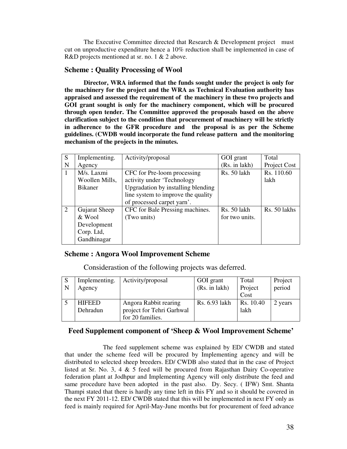The Executive Committee directed that Research & Development project must cut on unproductive expenditure hence a 10% reduction shall be implemented in case of R&D projects mentioned at sr. no. 1 & 2 above.

#### **Scheme : Quality Processing of Wool**

 **Director, WRA informed that the funds sought under the project is only for the machinery for the project and the WRA as Technical Evaluation authority has appraised and assessed the requirement of the machinery in these two projects and GOI grant sought is only for the machinery component, which will be procured through open tender. The Committee approved the proposals based on the above clarification subject to the condition that procurement of machinery will be strictly in adherence to the GFR procedure and the proposal is as per the Scheme guidelines. (CWDB would incorporate the fund release pattern and the monitoring mechanism of the projects in the minutes.** 

| S              | Implementing.  | Activity/proposal                  | GOI grant      | Total        |
|----------------|----------------|------------------------------------|----------------|--------------|
| N              | Agency         |                                    | (Rs. in lakh)  | Project Cost |
| $\overline{1}$ | M/s. Laxmi     | CFC for Pre-loom processing        | Rs. 50 lakh    | Rs. 110.60   |
|                | Woollen Mills, | activity under 'Technology         |                | lakh         |
|                | <b>Bikaner</b> | Upgradation by installing blending |                |              |
|                |                | line system to improve the quality |                |              |
|                |                | of processed carpet yarn'.         |                |              |
| 2              | Gujarat Sheep  | CFC for Bale Pressing machines.    | Rs. 50 lakh    | Rs. 50 lakhs |
|                | & Wool         | (Two units)                        | for two units. |              |
|                | Development    |                                    |                |              |
|                | Corp. Ltd,     |                                    |                |              |
|                | Gandhinagar    |                                    |                |              |

#### **Scheme : Angora Wool Improvement Scheme**

Considerastion of the following projects was deferred.

| -S<br>N | Implementing.<br>Agency   | Activity/proposal                                                      | GOI grant<br>(Rs. in lakh) | Total<br>Project<br>Cost | Project<br>period |
|---------|---------------------------|------------------------------------------------------------------------|----------------------------|--------------------------|-------------------|
|         | <b>HIFEED</b><br>Dehradun | Angora Rabbit rearing<br>project for Tehri Garhwal<br>for 20 families. | Rs. 6.93 lakh              | Rs. 10.40<br>lakh        | 2 years           |

#### **Feed Supplement component of 'Sheep & Wool Improvement Scheme'**

 The feed supplement scheme was explained by ED/ CWDB and stated that under the scheme feed will be procured by Implementing agency and will be distributed to selected sheep breeders. ED/ CWDB also stated that in the case of Project listed at Sr. No. 3, 4  $\&$  5 feed will be procured from Rajasthan Dairy Co-operative federation plant at Jodhpur and Implementing Agency will only distribute the feed and same procedure have been adopted in the past also. Dy. Secy. ( IFW) Smt. Shanta Thampi stated that there is hardly any time left in this FY and so it should be covered in the next FY 2011-12. ED/ CWDB stated that this will be implemented in next FY only as feed is mainly required for April-May-June months but for procurement of feed advance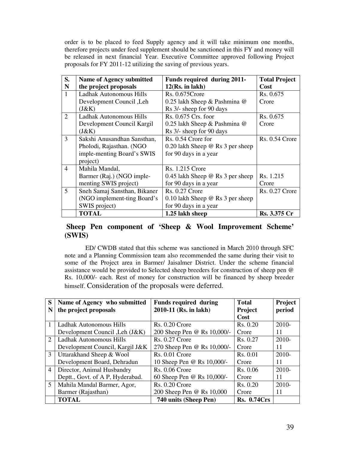order is to be placed to feed Supply agency and it will take minimum one months, therefore projects under feed supplement should be sanctioned in this FY and money will be released in next financial Year. Executive Committee approved following Project proposals for FY 2011-12 utilizing the saving of previous years.

| S.             | <b>Name of Agency submitted</b> | Funds required during 2011-             | <b>Total Project</b>  |
|----------------|---------------------------------|-----------------------------------------|-----------------------|
| N              | the project proposals           | 12(Rs. in lakh)                         | Cost                  |
| $\mathbf{1}$   | Ladhak Autonomous Hills         | $Rs. 0.675$ Crore                       | Rs. 0.675             |
|                | Development Council, Leh        | 0.25 lakh Sheep & Pashmina @            | Crore                 |
|                | (J&K)                           | Rs 3/- sheep for 90 days                |                       |
| $\overline{2}$ | Ladhak Autonomous Hills         | Rs. 0.675 Crs. foor                     | Rs. 0.675             |
|                | Development Council Kargil      | 0.25 lakh Sheep & Pashmina @            | Crore                 |
|                | (J&K)                           | Rs 3/- sheep for 90 days                |                       |
| 3              | Sakshi Anusandhan Sansthan,     | Rs. 0.54 Crore for                      | <b>Rs. 0.54 Crore</b> |
|                | Pholodi, Rajasthan. (NGO        | 0.20 lakh Sheep $\omega$ Rs 3 per sheep |                       |
|                | imple-menting Board's SWIS      | for 90 days in a year                   |                       |
|                | project)                        |                                         |                       |
| $\overline{4}$ | Mahila Mandal,                  | <b>Rs. 1.215 Crore</b>                  |                       |
|                | Barmer (Raj.) (NGO imple-       | 0.45 lakh Sheep $@$ Rs 3 per sheep      | Rs. 1.215             |
|                | menting SWIS project)           | for 90 days in a year                   | Crore                 |
| 5              | Sneh Samaj Sansthan, Bikaner    | <b>Rs. 0.27 Crore</b>                   | <b>Rs. 0.27 Crore</b> |
|                | (NGO implement-ting Board's     | 0.10 lakh Sheep $@$ Rs 3 per sheep      |                       |
|                | SWIS project)                   | for 90 days in a year                   |                       |
|                | <b>TOTAL</b>                    | 1.25 lakh sheep                         | Rs. 3.375 Cr          |

#### **Sheep Pen component of 'Sheep & Wool Improvement Scheme' (SWIS)**

 ED/ CWDB stated that this scheme was sanctioned in March 2010 through SFC note and a Planning Commission team also recommended the same during their visit to some of the Project area in Barmer/ Jaisalmer District. Under the scheme financial assistance would be provided to Selected sheep breeders for construction of sheep pen @ Rs. 10,000/- each. Rest of money for construction will be financed by sheep breeder himself. Consideration of the proposals were deferred.

| S                           | Name of Agency who submitted     | <b>Funds required during</b> | <b>Total</b>       | <b>Project</b> |
|-----------------------------|----------------------------------|------------------------------|--------------------|----------------|
| N                           | the project proposals            | 2010-11 (Rs. in lakh)        | <b>Project</b>     | period         |
|                             |                                  |                              | Cost               |                |
|                             | Ladhak Autonomous Hills          | $Rs. 0.20$ Crore             | Rs. 0.20           | 2010-          |
|                             | Development Council , Leh (J&K)  | 200 Sheep Pen @ Rs 10,000/-  | Crore              | 11             |
| $\mathcal{D}_{\mathcal{L}}$ | Ladhak Autonomous Hills          | <b>Rs. 0.27 Crore</b>        | Rs. 0.27           | 2010-          |
|                             | Development Council, Kargil J&K  | 270 Sheep Pen @ Rs 10,000/-  | Crore              | 11             |
| 3                           | Uttarakhand Sheep & Wool         | $Rs. 0.01$ Crore             | Rs. 0.01           | 2010-          |
|                             | Development Board, Dehradun      | 10 Sheep Pen @ Rs 10,000/-   | Crore              | 11             |
| 4 <sup>1</sup>              | Director, Animal Husbandry       | <b>Rs. 0.06 Crore</b>        | Rs. 0.06           | $2010-$        |
|                             | Deptt., Govt. of A P, Hyderabad. | 60 Sheep Pen @ Rs 10,000/-   | Crore              | 11             |
| 5 <sup>5</sup>              | Mahila Mandal Barmer, Agor,      | $Rs. 0.20$ Crore             | Rs. 0.20           | 2010-          |
|                             | Barmer (Rajasthan)               | 200 Sheep Pen @ Rs 10,000    | Crore              | 11             |
|                             | <b>TOTAL</b>                     | 740 units (Sheep Pen)        | <b>Rs. 0.74Crs</b> |                |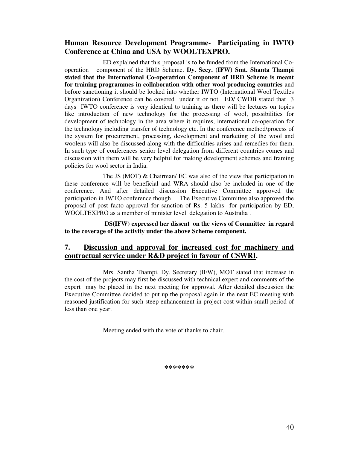#### **Human Resource Development Programme- Participating in IWTO Conference at China and USA by WOOLTEXPRO.**

 ED explained that this proposal is to be funded from the International Cooperation component of the HRD Scheme. **Dy. Secy. (IFW) Smt. Shanta Thampi stated that the International Co-operatrion Component of HRD Scheme is meant for training programmes in collaboration with other wool producing countries** and before sanctioning it should be looked into whether IWTO (International Wool Textiles Organization) Conference can be covered under it or not. ED/ CWDB stated that 3 days IWTO conference is very identical to training as there will be lectures on topics like introduction of new technology for the processing of wool, possibilities for development of technology in the area where it requires, international co-operation for the technology including transfer of technology etc. In the conference method\process of the system for procurement, processing, development and marketing of the wool and woolens will also be discussed along with the difficulties arises and remedies for them. In such type of conferences senior level delegation from different countries comes and discussion with them will be very helpful for making development schemes and framing policies for wool sector in India.

 The JS (MOT) & Chairman/ EC was also of the view that participation in these conference will be beneficial and WRA should also be included in one of the conference. And after detailed discussion Executive Committee approved the participation in IWTO conference though The Executive Committee also approved the proposal of post facto approval for sanction of Rs. 5 lakhs for participation by ED, WOOLTEXPRO as a member of minister level delegation to Australia .

 **DS(IFW) expressed her dissent on the views of Committee in regard to the coverage of the activity under the above Scheme component.** 

#### **7. Discussion and approval for increased cost for machinery and contractual service under R&D project in favour of CSWRI.**

 Mrs. Santha Thampi, Dy. Secretary (IFW), MOT stated that increase in the cost of the projects may first be discussed with technical expert and comments of the expert may be placed in the next meeting for approval. After detailed discussion the Executive Committee decided to put up the proposal again in the next EC meeting with reasoned justification for such steep enhancement in project cost within small period of less than one year.

Meeting ended with the vote of thanks to chair.

**\*\*\*\*\*\*\***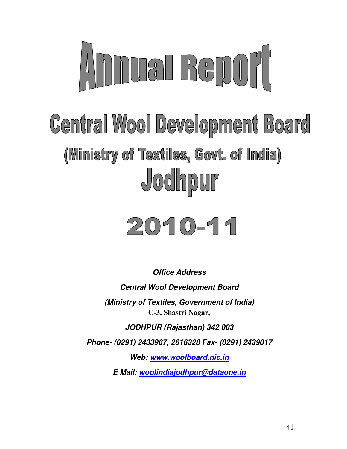

# **Central Wool Development Board** (Ministry of Textiles, Govt. of India) Jodhpur

# $2010 - 11$

**Office Address Central Wool Development Board (Ministry of Textiles, Government of India) C-3, Shastri Nagar, JODHPUR (Rajasthan) 342 003 Phone- (0291) 2433967, 2616328 Fax- (0291) 2439017 Web: www.woolboard.nic.in** 

**E Mail: woolindiajodhpur@dataone.in**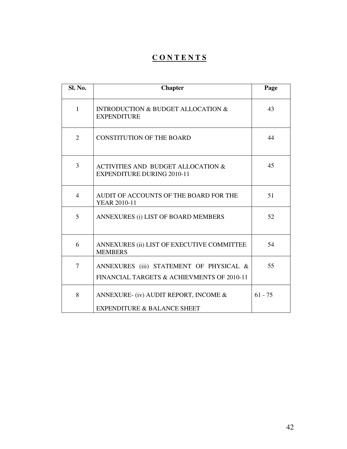## **C O N T E N T S**

| Sl. No.        | <b>Chapter</b>                                                                        | Page      |
|----------------|---------------------------------------------------------------------------------------|-----------|
| $\mathbf{1}$   | <b>INTRODUCTION &amp; BUDGET ALLOCATION &amp;</b><br><b>EXPENDITURE</b>               | 43        |
| $\overline{2}$ | <b>CONSTITUTION OF THE BOARD</b>                                                      | 44        |
| $\overline{3}$ | <b>ACTIVITIES AND BUDGET ALLOCATION &amp;</b><br><b>EXPENDITURE DURING 2010-11</b>    | 45        |
| $\overline{4}$ | AUDIT OF ACCOUNTS OF THE BOARD FOR THE<br><b>YEAR 2010-11</b>                         | 51        |
| 5              | ANNEXURES (i) LIST OF BOARD MEMBERS                                                   | 52        |
| 6              | ANNEXURES (ii) LIST OF EXECUTIVE COMMITTEE<br><b>MEMBERS</b>                          | 54        |
| 7              | ANNEXURES (iii) STATEMENT OF PHYSICAL &<br>FINANCIAL TARGETS & ACHIEVMENTS OF 2010-11 | 55        |
| 8              | ANNEXURE- (iv) AUDIT REPORT, INCOME &<br><b>EXPENDITURE &amp; BALANCE SHEET</b>       | $61 - 75$ |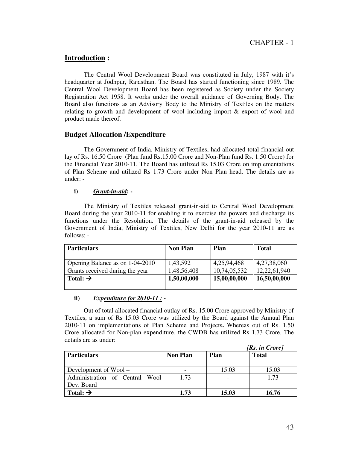#### **Introduction :**

 The Central Wool Development Board was constituted in July, 1987 with it's headquarter at Jodhpur, Rajasthan. The Board has started functioning since 1989. The Central Wool Development Board has been registered as Society under the Society Registration Act 1958. It works under the overall guidance of Governing Body. The Board also functions as an Advisory Body to the Ministry of Textiles on the matters relating to growth and development of wool including import & export of wool and product made thereof.

#### **Budget Allocation /Expenditure**

The Government of India, Ministry of Textiles, had allocated total financial out lay of Rs. 16.50 Crore (Plan fund Rs.15.00 Crore and Non-Plan fund Rs. 1.50 Crore) for the Financial Year 2010-11. The Board has utilized Rs 15.03 Crore on implementations of Plan Scheme and utilized Rs 1.73 Crore under Non Plan head. The details are as under: -

#### **i)** *Grant-in-aid***: -**

The Ministry of Textiles released grant-in-aid to Central Wool Development Board during the year 2010-11 for enabling it to exercise the powers and discharge its functions under the Resolution. The details of the grant-in-aid released by the Government of India, Ministry of Textiles, New Delhi for the year 2010-11 are as follows: -

| <b>Particulars</b>              | <b>Non Plan</b> | <b>Plan</b>  | <b>Total</b> |
|---------------------------------|-----------------|--------------|--------------|
| Opening Balance as on 1-04-2010 | 1,43,592        | 4,25,94,468  | 4,27,38,060  |
| Grants received during the year | 1,48,56,408     | 10,74,05,532 | 12,22,61,940 |
| Total: $\rightarrow$            | 1,50,00,000     | 15,00,00,000 | 16,50,00,000 |

#### **ii)** *Expenditure for 2010-11 :* **-**

Out of total allocated financial outlay of Rs. 15.00 Crore approved by Ministry of Textiles, a sum of Rs 15.03 Crore was utilized by the Board against the Annual Plan 2010-11 on implementations of Plan Scheme and Projects**.** Whereas out of Rs. 1.50 Crore allocated for Non-plan expenditure, the CWDB has utilized Rs 1.73 Crore. The details are as under:

|                                |                 |       | [Rs. in Crore] |
|--------------------------------|-----------------|-------|----------------|
| <b>Particulars</b>             | <b>Non Plan</b> | Plan  | <b>Total</b>   |
|                                |                 |       |                |
| Development of $Wood -$        |                 | 15.03 | 15.03          |
| Administration of Central Wool | 1.73            |       | 1.73           |
| Dev. Board                     |                 |       |                |
| Total: $\rightarrow$           | 1.73            | 15.03 | 16.76          |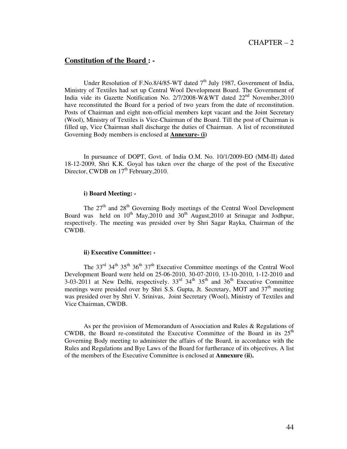#### CHAPTER – 2

#### **Constitution of the Board : -**

Under Resolution of F.No.8/4/85-WT dated  $7<sup>th</sup>$  July 1987, Government of India, Ministry of Textiles had set up Central Wool Development Board. The Government of India vide its Gazette Notification No. 2/7/2008-W&WT dated 22nd November,2010 have reconstituted the Board for a period of two years from the date of reconstitution. Posts of Chairman and eight non-official members kept vacant and the Joint Secretary (Wool), Ministry of Textiles is Vice-Chairman of the Board. Till the post of Chairman is filled up, Vice Chairman shall discharge the duties of Chairman. A list of reconstituted Governing Body members is enclosed at **Annexure- (i)**

 In pursuance of DOPT, Govt. of India O.M. No. 10/1/2009-EO (MM-II) dated 18-12-2009, Shri K.K. Goyal has taken over the charge of the post of the Executive Director, CWDB on  $17<sup>th</sup>$  February, 2010.

#### **i) Board Meeting: -**

The  $27<sup>th</sup>$  and  $28<sup>th</sup>$  Governing Body meetings of the Central Wool Development Board was held on  $10^{th}$  May,  $2010$  and  $30^{th}$  August,  $2010$  at Srinagar and Jodhpur, respectively. The meeting was presided over by Shri Sagar Rayka, Chairman of the CWDB.

#### **ii) Executive Committee: -**

The 33<sup>rd</sup> 34<sup>th</sup> 35<sup>th</sup> 36<sup>th</sup> 37<sup>th</sup> Executive Committee meetings of the Central Wool Development Board were held on 25-06-2010, 30-07-2010, 13-10-2010, 1-12-2010 and 3-03-2011 at New Delhi, respectively.  $33<sup>rd</sup> 34<sup>th</sup> 35<sup>th</sup>$  and  $36<sup>th</sup>$  Executive Committee meetings were presided over by Shri S.S. Gupta, Jt. Secretary, MOT and  $37<sup>th</sup>$  meeting was presided over by Shri V. Srinivas, Joint Secretary (Wool), Ministry of Textiles and Vice Chairman, CWDB.

 As per the provision of Memorandum of Association and Rules & Regulations of CWDB, the Board re-constituted the Executive Committee of the Board in its  $25<sup>th</sup>$ Governing Body meeting to administer the affairs of the Board, in accordance with the Rules and Regulations and Bye Laws of the Board for furtherance of its objectives. A list of the members of the Executive Committee is enclosed at **Annexure (ii).**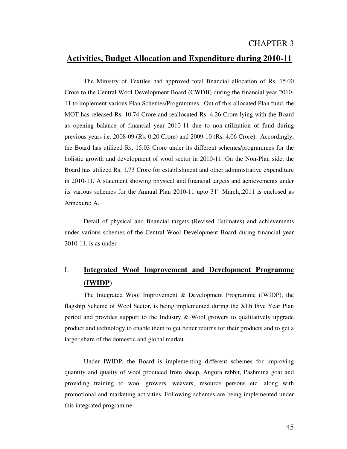#### CHAPTER 3

## **Activities, Budget Allocation and Expenditure during 2010-11**

 The Ministry of Textiles had approved total financial allocation of Rs. 15.00 Crore to the Central Wool Development Board (CWDB) during the financial year 2010- 11 to implement various Plan Schemes/Programmes. Out of this allocated Plan fund, the MOT has released Rs. 10.74 Crore and reallocated Rs. 4.26 Crore lying with the Board as opening balance of financial year 2010-11 due to non-utilization of fund during previous years i.e. 2008-09 (Rs. 0.20 Crore) and 2009-10 (Rs. 4.06 Crore). Accordingly, the Board has utilized Rs. 15.03 Crore under its different schemes/programmes for the holistic growth and development of wool sector in 2010-11. On the Non-Plan side, the Board has utilized Rs. 1.73 Crore for establishment and other administrative expenditure in 2010-11. A statement showing physical and financial targets and achievements under its various schemes for the Annual Plan 2010-11 upto  $31<sup>st</sup>$  March,, 2011 is enclosed as Annexure: A.

 Detail of physical and financial targets (Revised Estimates) and achievements under various schemes of the Central Wool Development Board during financial year 2010-11, is as under :

## I. **Integrated Wool Improvement and Development Programme (IWIDP)**

 The Integrated Wool Improvement & Development Programme (IWIDP), the flagship Scheme of Wool Sector, is being implemented during the XIth Five Year Plan period and provides support to the Industry & Wool growers to qualitatively upgrade product and technology to enable them to get better returns for their products and to get a larger share of the domestic and global market.

 Under IWIDP, the Board is implementing different schemes for improving quantity and quality of wool produced from sheep, Angora rabbit, Pashmina goat and providing training to wool growers, weavers, resource persons etc. along with promotional and marketing activities. Following schemes are being implemented under this integrated programme: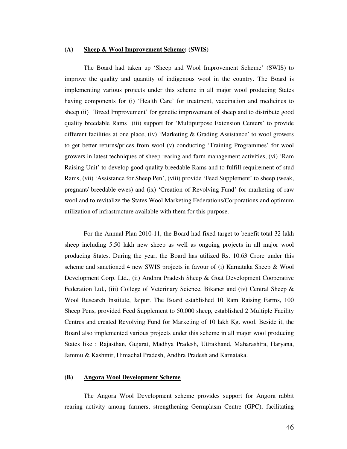#### **(A) Sheep & Wool Improvement Scheme: (SWIS)**

 The Board had taken up 'Sheep and Wool Improvement Scheme' (SWIS) to improve the quality and quantity of indigenous wool in the country. The Board is implementing various projects under this scheme in all major wool producing States having components for (i) 'Health Care' for treatment, vaccination and medicines to sheep (ii) 'Breed Improvement' for genetic improvement of sheep and to distribute good quality breedable Rams (iii) support for 'Multipurpose Extension Centers' to provide different facilities at one place, (iv) 'Marketing & Grading Assistance' to wool growers to get better returns/prices from wool (v) conducting 'Training Programmes' for wool growers in latest techniques of sheep rearing and farm management activities, (vi) 'Ram Raising Unit' to develop good quality breedable Rams and to fulfill requirement of stud Rams, (vii) 'Assistance for Sheep Pen', (viii) provide 'Feed Supplement' to sheep (weak, pregnant/ breedable ewes) and (ix) 'Creation of Revolving Fund' for marketing of raw wool and to revitalize the States Wool Marketing Federations/Corporations and optimum utilization of infrastructure available with them for this purpose.

 For the Annual Plan 2010-11, the Board had fixed target to benefit total 32 lakh sheep including 5.50 lakh new sheep as well as ongoing projects in all major wool producing States. During the year, the Board has utilized Rs. 10.63 Crore under this scheme and sanctioned 4 new SWIS projects in favour of (i) Karnataka Sheep & Wool Development Corp. Ltd., (ii) Andhra Pradesh Sheep & Goat Development Cooperative Federation Ltd., (iii) College of Veterinary Science, Bikaner and (iv) Central Sheep & Wool Research Institute, Jaipur. The Board established 10 Ram Raising Farms, 100 Sheep Pens, provided Feed Supplement to 50,000 sheep, established 2 Multiple Facility Centres and created Revolving Fund for Marketing of 10 lakh Kg. wool. Beside it, the Board also implemented various projects under this scheme in all major wool producing States like : Rajasthan, Gujarat, Madhya Pradesh, Uttrakhand, Maharashtra, Haryana, Jammu & Kashmir, Himachal Pradesh, Andhra Pradesh and Karnataka.

#### **(B) Angora Wool Development Scheme**

 The Angora Wool Development scheme provides support for Angora rabbit rearing activity among farmers, strengthening Germplasm Centre (GPC), facilitating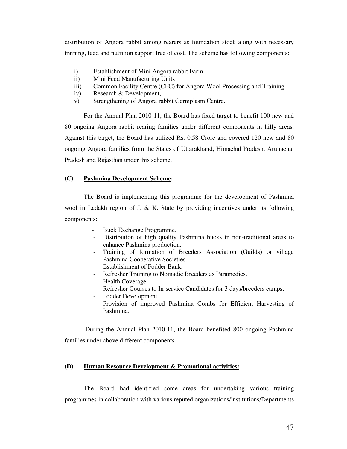distribution of Angora rabbit among rearers as foundation stock along with necessary training, feed and nutrition support free of cost. The scheme has following components:

- i) Establishment of Mini Angora rabbit Farm
- ii) Mini Feed Manufacturing Units
- iii) Common Facility Centre (CFC) for Angora Wool Processing and Training
- iv) Research & Development,
- v) Strengthening of Angora rabbit Germplasm Centre.

 For the Annual Plan 2010-11, the Board has fixed target to benefit 100 new and 80 ongoing Angora rabbit rearing families under different components in hilly areas. Against this target, the Board has utilized Rs. 0.58 Crore and covered 120 new and 80 ongoing Angora families from the States of Uttarakhand, Himachal Pradesh, Arunachal Pradesh and Rajasthan under this scheme.

#### **(C) Pashmina Development Scheme:**

 The Board is implementing this programme for the development of Pashmina wool in Ladakh region of J. & K. State by providing incentives under its following components:

- Buck Exchange Programme.
- Distribution of high quality Pashmina bucks in non-traditional areas to enhance Pashmina production.
- Training of formation of Breeders Association (Guilds) or village Pashmina Cooperative Societies.
- Establishment of Fodder Bank.
- Refresher Training to Nomadic Breeders as Paramedics.
- Health Coverage.
- Refresher Courses to In-service Candidates for 3 days/breeders camps.
- Fodder Development.
- Provision of improved Pashmina Combs for Efficient Harvesting of Pashmina.

 During the Annual Plan 2010-11, the Board benefited 800 ongoing Pashmina families under above different components.

#### **(D). Human Resource Development & Promotional activities:**

 The Board had identified some areas for undertaking various training programmes in collaboration with various reputed organizations/institutions/Departments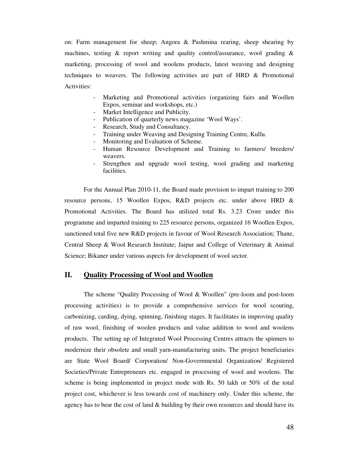on: Farm management for sheep; Angora & Pashmina rearing, sheep shearing by machines, testing & report writing and quality control/assurance, wool grading & marketing, processing of wool and woolens products, latest weaving and designing techniques to weavers. The following activities are part of HRD & Promotional Activities:

- Marketing and Promotional activities (organizing fairs and Woollen Expos, seminar and workshops, etc.)
- Market Intelligence and Publicity.
- Publication of quarterly news magazine 'Wool Ways'.
- Research, Study and Consultancy.
- Training under Weaving and Designing Training Centre, Kullu.
- Monitoring and Evaluation of Scheme.
- Human Resource Development and Training to farmers/ breeders/ weavers.
- Strengthen and upgrade wool testing, wool grading and marketing facilities.

For the Annual Plan 2010-11, the Board made provision to impart training to 200 resource persons, 15 Woollen Expos, R&D projects etc. under above HRD & Promotional Activities. The Board has utilized total Rs. 3.23 Crore under this programme and imparted training to 225 resource persons, organized 16 Woollen Expos, sanctioned total five new R&D projects in favour of Wool Research Association; Thane, Central Sheep & Wool Research Institute; Jaipur and College of Veterinary & Animal Science; Bikaner under various aspects for development of wool sector.

#### **II. Quality Processing of Wool and Woollen**

 The scheme "Quality Processing of Wool & Woollen" (pre-loom and post-loom processing activities) is to provide a comprehensive services for wool scouring, carbonizing, carding, dying, spinning, finishing stages. It facilitates in improving quality of raw wool, finishing of woolen products and value addition to wool and woolens products. The setting up of Integrated Wool Processing Centres attracts the spinners to modernize their obsolete and small yarn-manufacturing units. The project beneficiaries are State Wool Board/ Corporation/ Non-Governmental Organization/ Registered Societies/Private Entrepreneurs etc. engaged in processing of wool and woolens. The scheme is being implemented in project mode with Rs. 50 lakh or 50% of the total project cost, whichever is less towards cost of machinery only. Under this scheme, the agency has to bear the cost of land  $&$  building by their own resources and should have its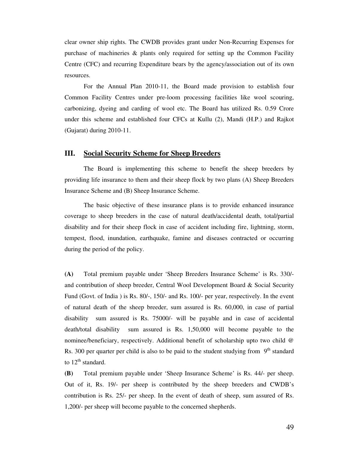clear owner ship rights. The CWDB provides grant under Non-Recurring Expenses for purchase of machineries & plants only required for setting up the Common Facility Centre (CFC) and recurring Expenditure bears by the agency/association out of its own resources.

 For the Annual Plan 2010-11, the Board made provision to establish four Common Facility Centres under pre-loom processing facilities like wool scouring, carbonizing, dyeing and carding of wool etc. The Board has utilized Rs. 0.59 Crore under this scheme and established four CFCs at Kullu (2), Mandi (H.P.) and Rajkot (Gujarat) during 2010-11.

#### **III. Social Security Scheme for Sheep Breeders**

The Board is implementing this scheme to benefit the sheep breeders by providing life insurance to them and their sheep flock by two plans (A) Sheep Breeders Insurance Scheme and (B) Sheep Insurance Scheme.

The basic objective of these insurance plans is to provide enhanced insurance coverage to sheep breeders in the case of natural death/accidental death, total/partial disability and for their sheep flock in case of accident including fire, lightning, storm, tempest, flood, inundation, earthquake, famine and diseases contracted or occurring during the period of the policy.

**(A)** Total premium payable under 'Sheep Breeders Insurance Scheme' is Rs. 330/ and contribution of sheep breeder, Central Wool Development Board & Social Security Fund (Govt. of India ) is Rs. 80/-, 150/- and Rs. 100/- per year, respectively. In the event of natural death of the sheep breeder, sum assured is Rs. 60,000, in case of partial disability sum assured is Rs. 75000/- will be payable and in case of accidental death/total disability sum assured is Rs. 1,50,000 will become payable to the nominee/beneficiary, respectively. Additional benefit of scholarship upto two child @ Rs. 300 per quarter per child is also to be paid to the student studying from  $9<sup>th</sup>$  standard to  $12<sup>th</sup>$  standard.

**(B)** Total premium payable under 'Sheep Insurance Scheme' is Rs. 44/- per sheep. Out of it, Rs. 19/- per sheep is contributed by the sheep breeders and CWDB's contribution is Rs. 25/- per sheep. In the event of death of sheep, sum assured of Rs. 1,200/- per sheep will become payable to the concerned shepherds.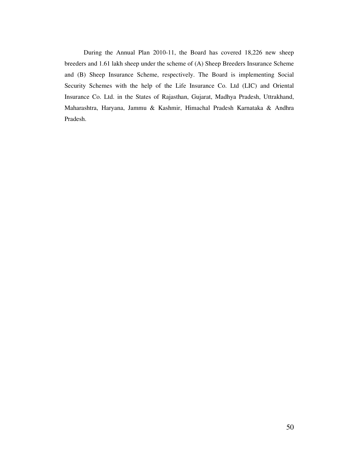During the Annual Plan 2010-11, the Board has covered 18,226 new sheep breeders and 1.61 lakh sheep under the scheme of (A) Sheep Breeders Insurance Scheme and (B) Sheep Insurance Scheme, respectively. The Board is implementing Social Security Schemes with the help of the Life Insurance Co. Ltd (LIC) and Oriental Insurance Co. Ltd. in the States of Rajasthan, Gujarat, Madhya Pradesh, Uttrakhand, Maharashtra, Haryana, Jammu & Kashmir, Himachal Pradesh Karnataka & Andhra Pradesh.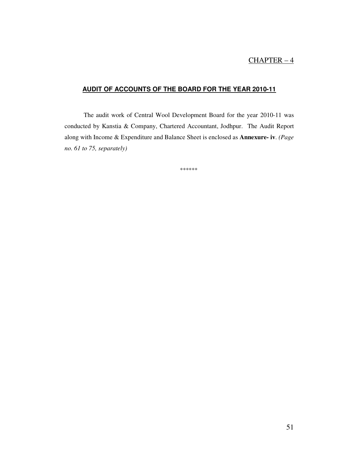## CHAPTER – 4

#### **AUDIT OF ACCOUNTS OF THE BOARD FOR THE YEAR 2010-11**

 The audit work of Central Wool Development Board for the year 2010-11 was conducted by Kanstia & Company, Chartered Accountant, Jodhpur. The Audit Report along with Income & Expenditure and Balance Sheet is enclosed as **Annexure- iv**. *(Page no. 61 to 75, separately)* 

\*\*\*\*\*\*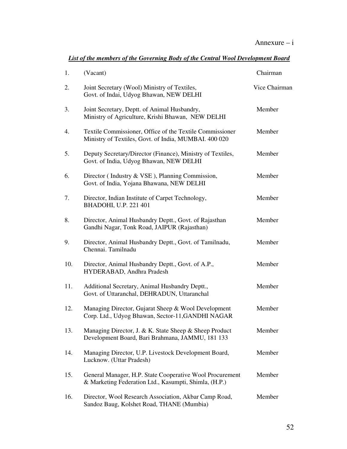| 1.  | (Vacant)                                                                                                          | Chairman      |
|-----|-------------------------------------------------------------------------------------------------------------------|---------------|
| 2.  | Joint Secretary (Wool) Ministry of Textiles,<br>Govt. of Indai, Udyog Bhawan, NEW DELHI                           | Vice Chairman |
| 3.  | Joint Secretary, Deptt. of Animal Husbandry,<br>Ministry of Agriculture, Krishi Bhawan, NEW DELHI                 | Member        |
| 4.  | Textile Commissioner, Office of the Textile Commissioner<br>Ministry of Textiles, Govt. of India, MUMBAI. 400 020 | Member        |
| 5.  | Deputy Secretary/Director (Finance), Ministry of Textiles,<br>Govt. of India, Udyog Bhawan, NEW DELHI             | Member        |
| 6.  | Director (Industry & VSE), Planning Commission,<br>Govt. of India, Yojana Bhawana, NEW DELHI                      | Member        |
| 7.  | Director, Indian Institute of Carpet Technology,<br>BHADOHI, U.P. 221 401                                         | Member        |
| 8.  | Director, Animal Husbandry Deptt., Govt. of Rajasthan<br>Gandhi Nagar, Tonk Road, JAIPUR (Rajasthan)              | Member        |
| 9.  | Director, Animal Husbandry Deptt., Govt. of Tamilnadu,<br>Chennai. Tamilnadu                                      | Member        |
| 10. | Director, Animal Husbandry Deptt., Govt. of A.P.,<br>HYDERABAD, Andhra Pradesh                                    | Member        |
| 11. | Additional Secretary, Animal Husbandry Deptt.,<br>Govt. of Uttaranchal, DEHRADUN, Uttaranchal                     | Member        |
| 12. | Managing Director, Gujarat Sheep & Wool Development<br>Corp. Ltd., Udyog Bhawan, Sector-11, GANDHI NAGAR          | Member        |
| 13. | Managing Director, J. & K. State Sheep & Sheep Product<br>Development Board, Bari Brahmana, JAMMU, 181 133        | Member        |
| 14. | Managing Director, U.P. Livestock Development Board,<br>Lucknow. (Uttar Pradesh)                                  | Member        |
| 15. | General Manager, H.P. State Cooperative Wool Procurement<br>& Marketing Federation Ltd., Kasumpti, Shimla, (H.P.) | Member        |
| 16. | Director, Wool Research Association, Akbar Camp Road,<br>Sandoz Baug, Kolshet Road, THANE (Mumbia)                | Member        |

#### *List of the members of the Governing Body of the Central Wool Development Board*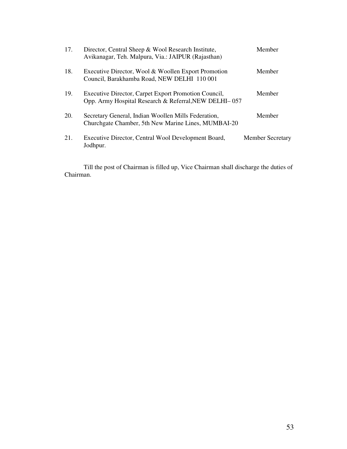| 17. | Director, Central Sheep & Wool Research Institute,<br>Avikanagar, Teh. Malpura, Via.: JAIPUR (Rajasthan)      | Member                  |
|-----|---------------------------------------------------------------------------------------------------------------|-------------------------|
| 18. | Executive Director, Wool & Woollen Export Promotion<br>Council, Barakhamba Road, NEW DELHI 110 001            | Member                  |
| 19. | Executive Director, Carpet Export Promotion Council,<br>Opp. Army Hospital Research & Referral, NEW DELHI-057 | Member                  |
| 20. | Secretary General, Indian Woollen Mills Federation,<br>Churchgate Chamber, 5th New Marine Lines, MUMBAI-20    | Member                  |
| 21. | Executive Director, Central Wool Development Board,<br>Jodhpur.                                               | <b>Member Secretary</b> |

 Till the post of Chairman is filled up, Vice Chairman shall discharge the duties of Chairman.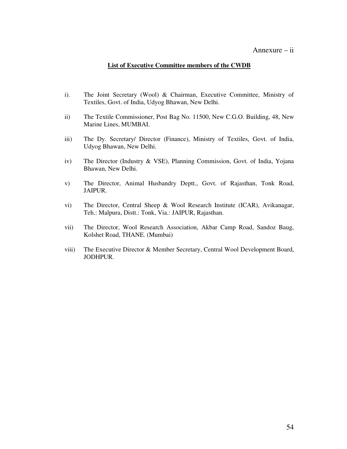#### Annexure – ii

#### **List of Executive Committee members of the CWDB**

- i). The Joint Secretary (Wool) & Chairman, Executive Committee, Ministry of Textiles, Govt. of India, Udyog Bhawan, New Delhi.
- ii) The Textile Commissioner, Post Bag No. 11500, New C.G.O. Building, 48, New Marine Lines, MUMBAI.
- iii) The Dy. Secretary/ Director (Finance), Ministry of Textiles, Govt. of India, Udyog Bhawan, New Delhi.
- iv) The Director (Industry & VSE), Planning Commission, Govt. of India, Yojana Bhawan, New Delhi.
- v) The Director, Animal Husbandry Deptt., Govt. of Rajasthan, Tonk Road, JAIPUR.
- vi) The Director, Central Sheep & Wool Research Institute (ICAR), Avikanagar, Teh.: Malpura, Distt.: Tonk, Via.: JAIPUR, Rajasthan.
- vii) The Director, Wool Research Association, Akbar Camp Road, Sandoz Baug, Kolshet Road, THANE. (Mumbai)
- viii) The Executive Director & Member Secretary, Central Wool Development Board, JODHPUR.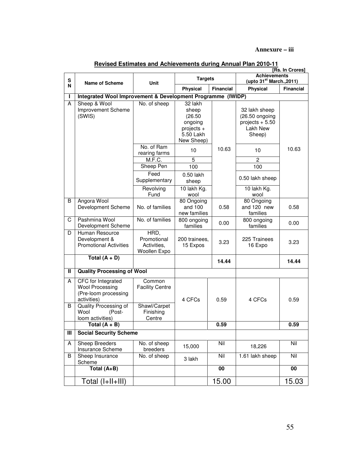#### **Annexure – iii**

| s |                                                                                     |                                                    | <b>Targets</b>                                                                    |                  | [Rs. In Crores]<br><b>Achievements</b><br>(upto 31 <sup>st</sup> March., 2011) |                  |
|---|-------------------------------------------------------------------------------------|----------------------------------------------------|-----------------------------------------------------------------------------------|------------------|--------------------------------------------------------------------------------|------------------|
| N | Name of Scheme                                                                      | Unit                                               | Physical                                                                          | <b>Financial</b> | Physical                                                                       | <b>Financial</b> |
|   | Integrated Wool Improvement & Development Programme (IWIDP)                         |                                                    |                                                                                   |                  |                                                                                |                  |
| A | Sheep & Wool<br>Improvement Scheme<br>(SWIS)                                        | No. of sheep                                       | 32 lakh<br>sheep<br>(26.50)<br>ongoing<br>projects $+$<br>5.50 Lakh<br>New Sheep) |                  | 32 lakh sheep<br>(26.50 ongoing<br>projects $+ 5.50$<br>Lakh New<br>Sheep)     |                  |
|   |                                                                                     | No. of Ram<br>rearing farms                        | 10                                                                                | 10.63            | 10                                                                             | 10.63            |
|   |                                                                                     | M.F. C.                                            | 5                                                                                 |                  | $\mathbf{c}$                                                                   |                  |
|   |                                                                                     | Sheep Pen                                          | 100                                                                               |                  | 100                                                                            |                  |
|   |                                                                                     | Feed<br>Supplementary                              | $0.50$ lakh<br>sheep                                                              |                  | 0.50 lakh sheep                                                                |                  |
|   |                                                                                     | Revolving<br>Fund                                  | 10 lakh Kg.<br>wool                                                               |                  | 10 lakh Kg.<br>wool                                                            |                  |
| B | Angora Wool<br>Development Scheme                                                   | No. of families                                    | 80 Ongoing<br>and 100<br>new families                                             | 0.58             | 80 Ongoing<br>and 120 new<br>families                                          | 0.58             |
| C | Pashmina Wool<br>Development Scheme                                                 | No. of families                                    | 800 ongoing<br>families                                                           | 0.00             | 800 ongoing<br>families                                                        | 0.00             |
| D | Human Resource<br>Development &<br><b>Promotional Activities</b>                    | HRD,<br>Promotional<br>Activities,<br>Woollen Expo | 200 trainees,<br>15 Expos                                                         | 3.23             | 225 Trainees<br>16 Expo                                                        | 3.23             |
|   | Total $(A + D)$                                                                     |                                                    |                                                                                   | 14.44            |                                                                                | 14.44            |
| Ш | <b>Quality Processing of Wool</b>                                                   |                                                    |                                                                                   |                  |                                                                                |                  |
| A | CFC for Integrated<br><b>Wool Processing</b><br>(Pre-loom processing<br>activities) | Common<br><b>Facility Centre</b>                   | 4 CFCs                                                                            | 0.59             | 4 CFCs                                                                         | 0.59             |
| B | Quality Processing of<br>Wool<br>(Post-<br>loom activities)                         | Shawl/Carpet<br>Finishing<br>Centre                |                                                                                   |                  |                                                                                |                  |
|   | Total (A + B)                                                                       |                                                    |                                                                                   | 0.59             |                                                                                | 0.59             |
| Ш | <b>Social Security Scheme</b>                                                       |                                                    |                                                                                   |                  |                                                                                |                  |
| A | Sheep Breeders<br>Insurance Scheme                                                  | No. of sheep<br>breeders                           | 15,000                                                                            | Nil              | 18,226                                                                         | Nil              |
| B | Sheep Insurance<br>Scheme                                                           | No. of sheep                                       | 3 lakh                                                                            | Nil              | 1.61 lakh sheep                                                                | Nil              |
|   | Total (A+B)                                                                         |                                                    |                                                                                   | $\overline{00}$  |                                                                                | $\overline{00}$  |
|   | Total (I+II+III)                                                                    |                                                    |                                                                                   | 15.00            |                                                                                | 15.03            |

#### **Revised Estimates and Achievements during Annual Plan 2010-11**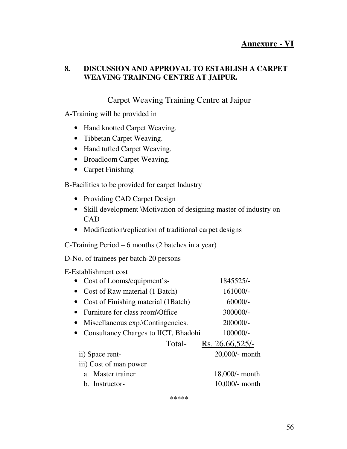## **Annexure - VI**

## **8. DISCUSSION AND APPROVAL TO ESTABLISH A CARPET WEAVING TRAINING CENTRE AT JAIPUR.**

## Carpet Weaving Training Centre at Jaipur

A-Training will be provided in

- Hand knotted Carpet Weaving.
- Tibbetan Carpet Weaving.
- Hand tufted Carpet Weaving.
- Broadloom Carpet Weaving.
- Carpet Finishing

B-Facilities to be provided for carpet Industry

- Providing CAD Carpet Design
- Skill development *Motivation* of designing master of industry on **CAD**
- Modification\replication of traditional carpet designs

C-Training Period – 6 months (2 batches in a year)

D-No. of trainees per batch-20 persons

E-Establishment cost

| • Cost of Looms/equipment's-           | 1845525/-         |
|----------------------------------------|-------------------|
| • Cost of Raw material (1 Batch)       | 161000/-          |
| • Cost of Finishing material (1Batch)  | $60000/-$         |
| • Furniture for class room\Office      | 300000/-          |
| • Miscellaneous exp.\Contingencies.    | 200000/-          |
| • Consultancy Charges to IICT, Bhadohi | $100000/-$        |
| Total-                                 | Rs. 26,66,525/-   |
| ii) Space rent-                        | 20,000/- month    |
| iii) Cost of man power                 |                   |
| a. Master trainer                      | 18,000/- month    |
| b. Instructor-                         | $10,000/$ - month |

\*\*\*\*\*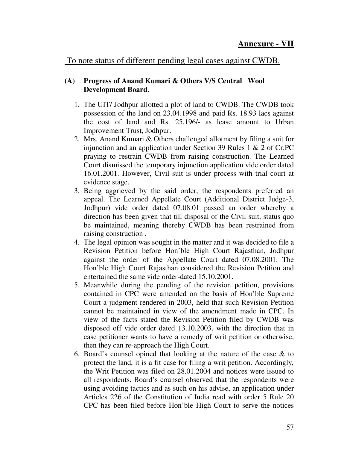## To note status of different pending legal cases against CWDB.

## **(A) Progress of Anand Kumari & Others V/S Central Wool Development Board.**

- 1. The UIT/ Jodhpur allotted a plot of land to CWDB. The CWDB took possession of the land on 23.04.1998 and paid Rs. 18.93 lacs against the cost of land and Rs. 25,196/- as lease amount to Urban Improvement Trust, Jodhpur.
- 2. Mrs. Anand Kumari & Others challenged allotment by filing a suit for injunction and an application under Section 39 Rules 1 & 2 of Cr.PC praying to restrain CWDB from raising construction. The Learned Court dismissed the temporary injunction application vide order dated 16.01.2001. However, Civil suit is under process with trial court at evidence stage.
- 3. Being aggrieved by the said order, the respondents preferred an appeal. The Learned Appellate Court (Additional District Judge-3, Jodhpur) vide order dated 07.08.01 passed an order whereby a direction has been given that till disposal of the Civil suit, status quo be maintained, meaning thereby CWDB has been restrained from raising construction .
- 4. The legal opinion was sought in the matter and it was decided to file a Revision Petition before Hon'ble High Court Rajasthan, Jodhpur against the order of the Appellate Court dated 07.08.2001. The Hon'ble High Court Rajasthan considered the Revision Petition and entertained the same vide order-dated 15.10.2001.
- 5. Meanwhile during the pending of the revision petition, provisions contained in CPC were amended on the basis of Hon'ble Supreme Court a judgment rendered in 2003, held that such Revision Petition cannot be maintained in view of the amendment made in CPC. In view of the facts stated the Revision Petition filed by CWDB was disposed off vide order dated 13.10.2003, with the direction that in case petitioner wants to have a remedy of writ petition or otherwise, then they can re-approach the High Court.
- 6. Board's counsel opined that looking at the nature of the case & to protect the land, it is a fit case for filing a writ petition. Accordingly, the Writ Petition was filed on 28.01.2004 and notices were issued to all respondents. Board's counsel observed that the respondents were using avoiding tactics and as such on his advise, an application under Articles 226 of the Constitution of India read with order 5 Rule 20 CPC has been filed before Hon'ble High Court to serve the notices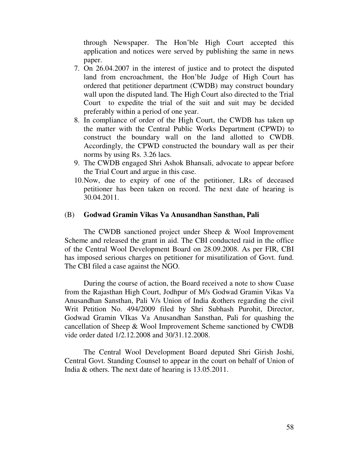through Newspaper. The Hon'ble High Court accepted this application and notices were served by publishing the same in news paper.

- 7. On 26.04.2007 in the interest of justice and to protect the disputed land from encroachment, the Hon'ble Judge of High Court has ordered that petitioner department (CWDB) may construct boundary wall upon the disputed land. The High Court also directed to the Trial Court to expedite the trial of the suit and suit may be decided preferably within a period of one year.
- 8. In compliance of order of the High Court, the CWDB has taken up the matter with the Central Public Works Department (CPWD) to construct the boundary wall on the land allotted to CWDB. Accordingly, the CPWD constructed the boundary wall as per their norms by using Rs. 3.26 lacs.
- 9. The CWDB engaged Shri Ashok Bhansali, advocate to appear before the Trial Court and argue in this case.
- 10.Now, due to expiry of one of the petitioner, LRs of deceased petitioner has been taken on record. The next date of hearing is 30.04.2011.

#### (B) **Godwad Gramin Vikas Va Anusandhan Sansthan, Pali**

 The CWDB sanctioned project under Sheep & Wool Improvement Scheme and released the grant in aid. The CBI conducted raid in the office of the Central Wool Development Board on 28.09.2008. As per FIR, CBI has imposed serious charges on petitioner for misutilization of Govt. fund. The CBI filed a case against the NGO.

 During the course of action, the Board received a note to show Cuase from the Rajasthan High Court, Jodhpur of M/s Godwad Gramin Vikas Va Anusandhan Sansthan, Pali V/s Union of India &others regarding the civil Writ Petition No. 494/2009 filed by Shri Subhash Purohit, Director, Godwad Gramin VIkas Va Anusandhan Sansthan, Pali for quashing the cancellation of Sheep & Wool Improvement Scheme sanctioned by CWDB vide order dated 1/2.12.2008 and 30/31.12.2008.

 The Central Wool Development Board deputed Shri Girish Joshi, Central Govt. Standing Counsel to appear in the court on behalf of Union of India & others. The next date of hearing is 13.05.2011.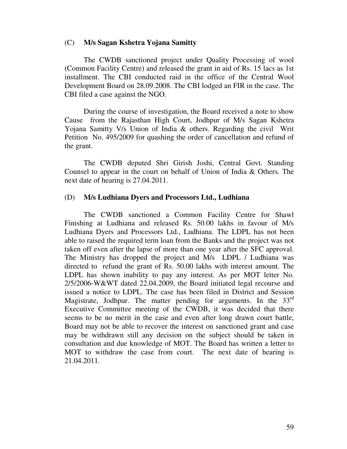#### (C) **M/s Sagan Kshetra Yojana Samitty**

 The CWDB sanctioned project under Quality Processing of wool (Common Facility Centre) and released the grant in aid of Rs. 15 lacs as 1st installment. The CBI conducted raid in the office of the Central Wool Development Board on 28.09.2008. The CBI lodged an FIR in the case. The CBI filed a case against the NGO.

 During the course of investigation, the Board received a note to show Cause from the Rajasthan High Court, Jodhpur of M/s Sagan Kshetra Yojana Samitty V/s Union of India & others. Regarding the civil Writ Petition No. 495/2009 for quashing the order of cancellation and refund of the grant.

 The CWDB deputed Shri Girish Joshi, Central Govt. Standing Counsel to appear in the court on behalf of Union of India & Others. The next date of hearing is 27.04.2011.

#### (D) **M/s Ludhiana Dyers and Processors Ltd., Ludhiana**

 The CWDB sanctioned a Common Facility Centre for Shawl Finishing at Ludhiana and released Rs. 50.00 lakhs in favour of M/s Ludhiana Dyers and Processors Ltd., Ludhiana. The LDPL has not been able to raised the required term loan from the Banks and the project was not taken off even after the lapse of more than one year after the SFC approval. The Ministry has dropped the project and M/s LDPL / Ludhiana was directed to refund the grant of Rs. 50.00 lakhs with interest amount. The LDPL has shown inability to pay any interest. As per MOT letter No. 2/5/2006-W&WT dated 22.04.2009, the Board initiated legal recourse and issued a notice to LDPL. The case has been filed in District and Session Magistrate, Jodhpur. The matter pending for arguments. In the 33<sup>rd</sup> Executive Committee meeting of the CWDB, it was decided that there seems to be no merit in the case and even after long drawn court battle, Board may not be able to recover the interest on sanctioned grant and case may be withdrawn still any decision on the subject should be taken in consultation and due knowledge of MOT. The Board has written a letter to MOT to withdraw the case from court. The next date of hearing is 21.04.2011.